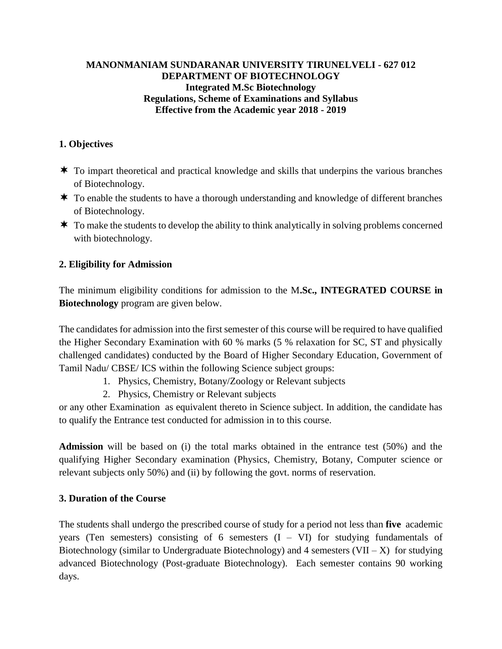### **MANONMANIAM SUNDARANAR UNIVERSITY TIRUNELVELI - 627 012 DEPARTMENT OF BIOTECHNOLOGY Integrated M.Sc Biotechnology Regulations, Scheme of Examinations and Syllabus Effective from the Academic year 2018 - 2019**

# **1. Objectives**

- $\star$  To impart theoretical and practical knowledge and skills that underpins the various branches of Biotechnology.
- \* To enable the students to have a thorough understanding and knowledge of different branches of Biotechnology.
- $\star$  To make the students to develop the ability to think analytically in solving problems concerned with biotechnology.

### **2. Eligibility for Admission**

The minimum eligibility conditions for admission to the M**.Sc., INTEGRATED COURSE in Biotechnology** program are given below.

The candidates for admission into the first semester of this course will be required to have qualified the Higher Secondary Examination with 60 % marks (5 % relaxation for SC, ST and physically challenged candidates) conducted by the Board of Higher Secondary Education, Government of Tamil Nadu/ CBSE/ ICS within the following Science subject groups:

- 1. Physics, Chemistry, Botany/Zoology or Relevant subjects
- 2. Physics, Chemistry or Relevant subjects

or any other Examination as equivalent thereto in Science subject. In addition, the candidate has to qualify the Entrance test conducted for admission in to this course.

**Admission** will be based on (i) the total marks obtained in the entrance test (50%) and the qualifying Higher Secondary examination (Physics, Chemistry, Botany, Computer science or relevant subjects only 50%) and (ii) by following the govt. norms of reservation.

### **3. Duration of the Course**

The students shall undergo the prescribed course of study for a period not less than **five** academic years (Ten semesters) consisting of 6 semesters  $(I - VI)$  for studying fundamentals of Biotechnology (similar to Undergraduate Biotechnology) and 4 semesters  $(VII - X)$  for studying advanced Biotechnology (Post-graduate Biotechnology). Each semester contains 90 working days.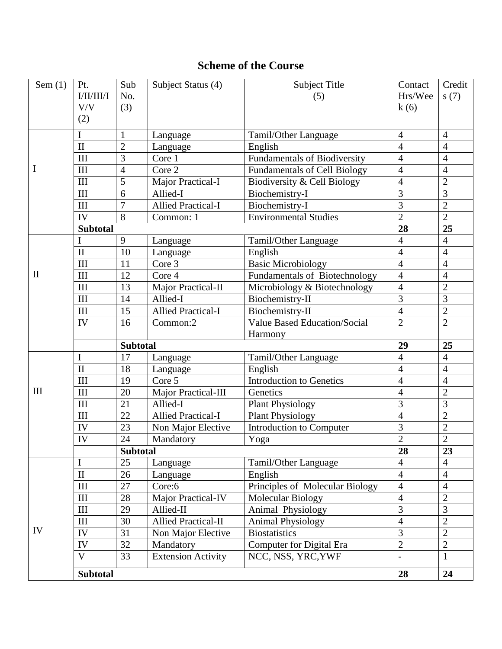# **Scheme of the Course**

| Sem $(1)$    | Pt.                     | Sub                            | Subject Status (4)         | Subject Title                       | Contact                          | Credit                           |
|--------------|-------------------------|--------------------------------|----------------------------|-------------------------------------|----------------------------------|----------------------------------|
|              | I/II/III/I              | No.                            |                            | (5)                                 | Hrs/Wee                          | s(7)                             |
|              | V/V                     | (3)                            |                            |                                     | k(6)                             |                                  |
|              | (2)                     |                                |                            |                                     |                                  |                                  |
|              | I                       |                                |                            |                                     |                                  |                                  |
|              | $\mathbf{I}$            | $\mathbf{1}$<br>$\overline{2}$ | Language                   | Tamil/Other Language                | $\overline{4}$<br>$\overline{4}$ | $\overline{4}$<br>$\overline{4}$ |
|              |                         | 3                              | Language                   | English                             |                                  |                                  |
|              | III                     |                                | Core 1                     | <b>Fundamentals of Biodiversity</b> | $\overline{4}$                   | $\overline{4}$                   |
| $\bf{l}$     | III                     | $\overline{4}$                 | Core 2                     | <b>Fundamentals of Cell Biology</b> | $\overline{4}$                   | $\overline{4}$                   |
|              | III                     | 5                              | Major Practical-I          | Biodiversity & Cell Biology         | $\overline{4}$                   | $\overline{c}$                   |
|              | III                     | 6                              | Allied-I                   | Biochemistry-I                      | 3                                | $\overline{3}$                   |
|              | III                     | $\tau$                         | <b>Allied Practical-I</b>  | Biochemistry-I                      | 3                                | $\sqrt{2}$                       |
|              | IV                      | 8                              | Common: 1                  | <b>Environmental Studies</b>        | $\overline{2}$                   | $\overline{2}$                   |
|              | <b>Subtotal</b>         |                                |                            |                                     | $\overline{28}$                  | 25                               |
|              | I                       | 9                              | Language                   | Tamil/Other Language                | $\overline{4}$                   | $\overline{4}$                   |
|              | $\mathbf{I}$            | 10                             | Language                   | English                             | $\overline{4}$                   | $\overline{4}$                   |
|              | III                     | 11                             | Core 3                     | <b>Basic Microbiology</b>           | $\overline{4}$                   | $\overline{4}$                   |
| $\mathbf{I}$ | III                     | 12                             | Core 4                     | Fundamentals of Biotechnology       | $\overline{4}$                   | $\overline{4}$                   |
|              | III                     | 13                             | Major Practical-II         | Microbiology & Biotechnology        | $\overline{4}$                   | $\overline{2}$                   |
|              | III                     | 14                             | Allied-I                   | Biochemistry-II                     | $\overline{3}$                   | 3                                |
|              | $\rm III$               | 15                             | <b>Allied Practical-I</b>  | Biochemistry-II                     | $\overline{4}$                   | $\overline{2}$                   |
|              | IV                      | 16                             | Common:2                   | Value Based Education/Social        | $\overline{2}$                   | $\overline{2}$                   |
|              |                         |                                |                            | Harmony                             |                                  |                                  |
|              |                         | <b>Subtotal</b>                |                            |                                     | 29                               | 25                               |
|              | $\mathbf I$             | 17                             | Language                   | Tamil/Other Language                | $\overline{4}$                   | $\overline{4}$                   |
|              | $\overline{\text{II}}$  | 18                             | Language                   | English                             | $\overline{4}$                   | $\overline{4}$                   |
|              | III                     | 19                             | Core 5                     | <b>Introduction to Genetics</b>     | $\overline{4}$                   | $\overline{4}$                   |
| III          | III                     | 20                             | Major Practical-III        | Genetics                            | $\overline{4}$                   | $\overline{2}$                   |
|              | III                     | 21                             | Allied-I                   | <b>Plant Physiology</b>             | 3                                | 3                                |
|              | III                     | 22                             | <b>Allied Practical-I</b>  | <b>Plant Physiology</b>             | $\overline{4}$                   | $\overline{2}$                   |
|              | IV                      | 23                             | Non Major Elective         | Introduction to Computer            | 3                                | $\overline{c}$                   |
|              | IV                      | 24                             | Mandatory                  | Yoga                                | $\overline{2}$                   | $\overline{2}$                   |
|              |                         | <b>Subtotal</b>                |                            |                                     | 28                               | 23                               |
|              | I                       | 25                             | Language                   | Tamil/Other Language                | $\overline{4}$                   | $\overline{4}$                   |
|              | $\rm II$                | 26                             | Language                   | English                             | $\overline{4}$                   | $\overline{4}$                   |
|              | $\rm III$               | 27                             | Core:6                     | Principles of Molecular Biology     | $\overline{4}$                   | $\overline{4}$                   |
|              | III                     | 28                             | Major Practical-IV         | Molecular Biology                   | $\overline{4}$                   | $\overline{2}$                   |
|              | $\rm III$               | 29                             | Allied-II                  | Animal Physiology                   | $\overline{3}$                   | $\overline{3}$                   |
|              | III                     | 30                             | <b>Allied Practical-II</b> | <b>Animal Physiology</b>            | $\overline{4}$                   | $\overline{2}$                   |
| IV           | ${\rm IV}$              | 31                             | Non Major Elective         | <b>Biostatistics</b>                | $\overline{3}$                   | $\overline{2}$                   |
|              | IV                      | 32                             | Mandatory                  | <b>Computer for Digital Era</b>     | $\overline{2}$                   | $\overline{2}$                   |
|              | $\overline{\mathsf{V}}$ | 33                             | <b>Extension Activity</b>  | NCC, NSS, YRC, YWF                  | $\overline{a}$                   | $\mathbf{1}$                     |
|              |                         |                                |                            |                                     |                                  |                                  |
|              | <b>Subtotal</b>         |                                |                            |                                     | 28                               | 24                               |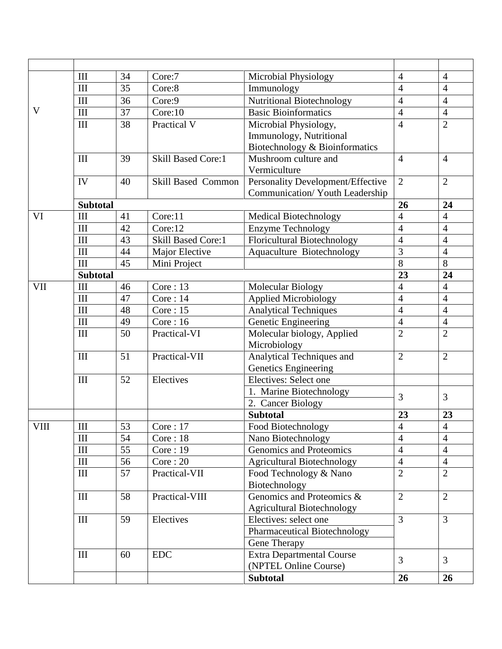|             | III             | 34 | Core:7                    | Microbial Physiology               | $\overline{4}$           | $\overline{4}$           |
|-------------|-----------------|----|---------------------------|------------------------------------|--------------------------|--------------------------|
|             | $\rm III$       | 35 | Core:8                    | Immunology                         | $\overline{4}$           | $\overline{4}$           |
|             | III             | 36 | Core:9                    | Nutritional Biotechnology          | $\overline{4}$           | $\overline{4}$           |
| V           | III             | 37 | Core:10                   | <b>Basic Bioinformatics</b>        | $\overline{4}$           | $\overline{4}$           |
|             | III             | 38 | Practical V               | Microbial Physiology,              | $\overline{4}$           | $\overline{2}$           |
|             |                 |    |                           | Immunology, Nutritional            |                          |                          |
|             |                 |    |                           | Biotechnology & Bioinformatics     |                          |                          |
|             | III             | 39 | <b>Skill Based Core:1</b> | Mushroom culture and               | $\overline{4}$           | $\overline{4}$           |
|             |                 |    |                           | Vermiculture                       |                          |                          |
|             | IV              | 40 | <b>Skill Based Common</b> | Personality Development/Effective  | 2                        | $\overline{2}$           |
|             |                 |    |                           | Communication/ Youth Leadership    |                          |                          |
|             | <b>Subtotal</b> |    |                           |                                    | 26                       | 24                       |
| VI          | III             | 41 | Core:11                   | Medical Biotechnology              | $\overline{4}$           | $\overline{4}$           |
|             | III             | 42 | Core:12                   | <b>Enzyme Technology</b>           | $\overline{4}$           | $\overline{4}$           |
|             | III             | 43 | Skill Based Core:1        | <b>Floricultural Biotechnology</b> | $\overline{4}$           | $\overline{4}$           |
|             | III             | 44 | Major Elective            | Aquaculture Biotechnology          | $\overline{3}$           | $\overline{4}$           |
|             | III             | 45 | Mini Project              |                                    | 8                        | $\overline{8}$           |
|             | <b>Subtotal</b> |    |                           |                                    | 23                       | 24                       |
| <b>VII</b>  | III             | 46 | Core:13                   | Molecular Biology                  | $\overline{4}$           | $\overline{4}$           |
|             | III             | 47 | Core:14                   | <b>Applied Microbiology</b>        | $\overline{4}$           | $\overline{4}$           |
|             | III             | 48 | Core:15                   | <b>Analytical Techniques</b>       | $\overline{4}$           | $\overline{4}$           |
|             | $\rm III$       | 49 | Core:16                   | Genetic Engineering                | $\overline{4}$           | $\overline{4}$           |
|             | III             | 50 | Practical-VI              | Molecular biology, Applied         | $\overline{2}$           | $\overline{2}$           |
|             |                 |    |                           | Microbiology                       |                          |                          |
|             | III             | 51 | Practical-VII             | Analytical Techniques and          | $\overline{2}$           | $\overline{2}$           |
|             |                 |    |                           | <b>Genetics Engineering</b>        |                          |                          |
|             | $\rm III$       | 52 | Electives                 | Electives: Select one              |                          |                          |
|             |                 |    |                           | 1. Marine Biotechnology            | 3                        | 3                        |
|             |                 |    |                           | 2. Cancer Biology                  |                          |                          |
|             |                 |    |                           | <b>Subtotal</b>                    | 23                       | 23                       |
| <b>VIII</b> | $\rm III$       | 53 | Core:17                   | Food Biotechnology                 | $\overline{\mathcal{L}}$ | $\overline{\mathcal{L}}$ |
|             | III             | 54 | Core: 18                  | Nano Biotechnology                 | $\overline{4}$           | $\overline{4}$           |
|             | III             | 55 | Core:19                   | Genomics and Proteomics            | $\overline{4}$           | $\overline{4}$           |
|             | III             | 56 | Core:20                   | <b>Agricultural Biotechnology</b>  | $\overline{4}$           | $\overline{4}$           |
|             | III             | 57 | Practical-VII             | Food Technology & Nano             | $\overline{2}$           | $\overline{2}$           |
|             |                 |    |                           | Biotechnology                      |                          |                          |
|             | III             | 58 | Practical-VIII            | Genomics and Proteomics &          | $\overline{2}$           | $\overline{2}$           |
|             |                 |    |                           | <b>Agricultural Biotechnology</b>  |                          |                          |
|             | $\rm III$       | 59 | Electives                 | Electives: select one              | $\overline{3}$           | $\mathfrak{Z}$           |
|             |                 |    |                           | Pharmaceutical Biotechnology       |                          |                          |
|             |                 |    |                           | Gene Therapy                       |                          |                          |
|             | III             | 60 | <b>EDC</b>                | <b>Extra Departmental Course</b>   | $\overline{3}$           | 3                        |
|             |                 |    |                           | (NPTEL Online Course)              |                          |                          |
|             |                 |    |                           | <b>Subtotal</b>                    | 26                       | 26                       |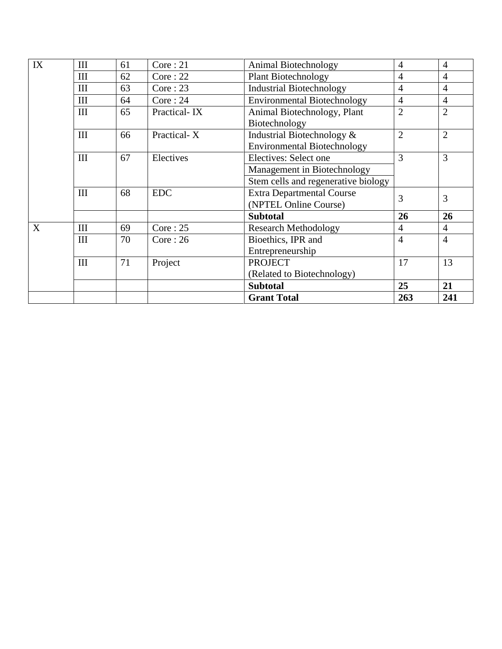| IX | III | 61 | Core:21<br>Animal Biotechnology |                                     | $\overline{4}$ | $\overline{4}$ |
|----|-----|----|---------------------------------|-------------------------------------|----------------|----------------|
|    | III | 62 | Core:22                         | <b>Plant Biotechnology</b>          | $\overline{4}$ | $\overline{4}$ |
|    | III | 63 | Core:23                         | <b>Industrial Biotechnology</b>     | $\overline{4}$ | $\overline{4}$ |
|    | III | 64 | Core:24                         | <b>Environmental Biotechnology</b>  | $\overline{4}$ | $\overline{4}$ |
|    | III | 65 | Practical-IX                    | Animal Biotechnology, Plant         | $\overline{2}$ | $\overline{2}$ |
|    |     |    |                                 | Biotechnology                       |                |                |
|    | III | 66 | Practical-X                     | Industrial Biotechnology &          | $\overline{2}$ | $\overline{2}$ |
|    |     |    |                                 | <b>Environmental Biotechnology</b>  |                |                |
|    | III | 67 | Electives                       | Electives: Select one               | 3              | $\overline{3}$ |
|    |     |    |                                 | Management in Biotechnology         |                |                |
|    |     |    |                                 | Stem cells and regenerative biology |                |                |
|    | III | 68 | <b>EDC</b>                      | <b>Extra Departmental Course</b>    | 3              | 3              |
|    |     |    |                                 | (NPTEL Online Course)               |                |                |
|    |     |    |                                 | <b>Subtotal</b>                     | 26             | 26             |
| X  | III | 69 | Core:25                         | <b>Research Methodology</b>         | $\overline{4}$ | $\overline{4}$ |
|    | III | 70 | Core:26                         | Bioethics, IPR and                  | $\overline{4}$ | $\overline{4}$ |
|    |     |    |                                 | Entrepreneurship                    |                |                |
|    | III | 71 | Project                         | <b>PROJECT</b>                      | 17             | 13             |
|    |     |    |                                 | (Related to Biotechnology)          |                |                |
|    |     |    |                                 | <b>Subtotal</b>                     | 25             | 21             |
|    |     |    |                                 | <b>Grant Total</b>                  | 263            | 241            |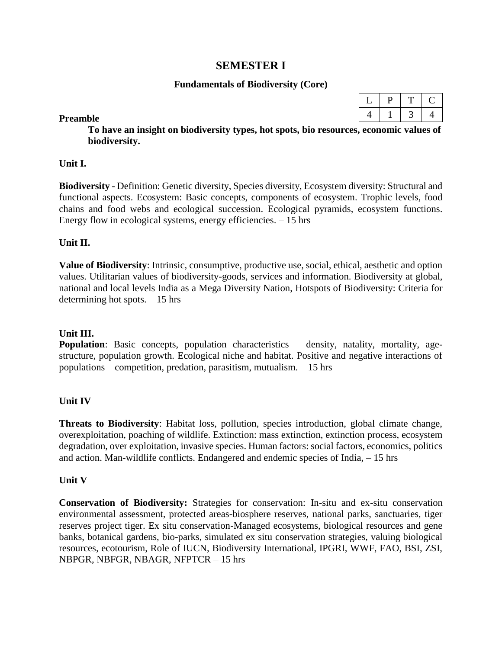## **SEMESTER I**

#### **Fundamentals of Biodiversity (Core)**

#### **Preamble**

**To have an insight on biodiversity types, hot spots, bio resources, economic values of biodiversity.**

#### **Unit I.**

**Biodiversity** - Definition: Genetic diversity, Species diversity, Ecosystem diversity: Structural and functional aspects. Ecosystem: Basic concepts, components of ecosystem. Trophic levels, food chains and food webs and ecological succession. Ecological pyramids, ecosystem functions. Energy flow in ecological systems, energy efficiencies.  $-15$  hrs

#### **Unit II.**

**Value of Biodiversity**: Intrinsic, consumptive, productive use, social, ethical, aesthetic and option values. Utilitarian values of biodiversity-goods, services and information. Biodiversity at global, national and local levels India as a Mega Diversity Nation, Hotspots of Biodiversity: Criteria for determining hot spots. – 15 hrs

#### **Unit III.**

**Population**: Basic concepts, population characteristics – density, natality, mortality, agestructure, population growth. Ecological niche and habitat. Positive and negative interactions of populations – competition, predation, parasitism, mutualism. – 15 hrs

#### **Unit IV**

**Threats to Biodiversity**: Habitat loss, pollution, species introduction, global climate change, overexploitation, poaching of wildlife. Extinction: mass extinction, extinction process, ecosystem degradation, over exploitation, invasive species. Human factors: social factors, economics, politics and action. Man-wildlife conflicts. Endangered and endemic species of India, – 15 hrs

#### **Unit V**

**Conservation of Biodiversity:** Strategies for conservation: In-situ and ex-situ conservation environmental assessment, protected areas-biosphere reserves, national parks, sanctuaries, tiger reserves project tiger. Ex situ conservation-Managed ecosystems, biological resources and gene banks, botanical gardens, bio-parks, simulated ex situ conservation strategies, valuing biological resources, ecotourism, Role of IUCN, Biodiversity International, IPGRI, WWF, FAO, BSI, ZSI, NBPGR, NBFGR, NBAGR, NFPTCR – 15 hrs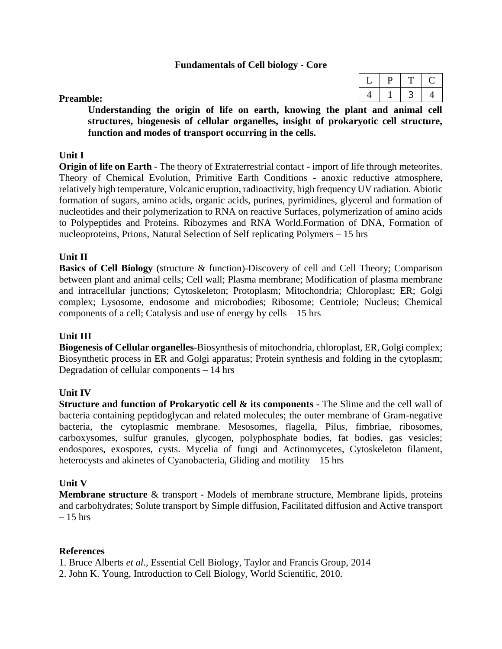#### **Fundamentals of Cell biology - Core**

#### **Preamble:**

**Understanding the origin of life on earth, knowing the plant and animal cell structures, biogenesis of cellular organelles, insight of prokaryotic cell structure, function and modes of transport occurring in the cells.** 

#### **Unit I**

**Origin of life on Earth** - The theory of Extraterrestrial contact - import of life through meteorites. Theory of Chemical Evolution, Primitive Earth Conditions - anoxic reductive atmosphere, relatively high temperature, Volcanic eruption, radioactivity, high frequency UV radiation. Abiotic formation of sugars, amino acids, organic acids, purines, pyrimidines, glycerol and formation of nucleotides and their polymerization to RNA on reactive Surfaces, polymerization of amino acids to Polypeptides and Proteins. Ribozymes and RNA World.Formation of DNA, Formation of nucleoproteins, Prions, Natural Selection of Self replicating Polymers – 15 hrs

#### **Unit II**

**Basics of Cell Biology** (structure & function)-Discovery of cell and Cell Theory; Comparison between plant and animal cells; Cell wall; Plasma membrane; Modification of plasma membrane and intracellular junctions; Cytoskeleton; Protoplasm; Mitochondria; Chloroplast; ER; Golgi complex; Lysosome, endosome and microbodies; Ribosome; Centriole; Nucleus; Chemical components of a cell; Catalysis and use of energy by cells – 15 hrs

#### **Unit III**

**Biogenesis of Cellular organelles**-Biosynthesis of mitochondria, chloroplast, ER, Golgi complex; Biosynthetic process in ER and Golgi apparatus; Protein synthesis and folding in the cytoplasm; Degradation of cellular components – 14 hrs

### **Unit IV**

**Structure and function of Prokaryotic cell & its components** - The Slime and the cell wall of bacteria containing peptidoglycan and related molecules; the outer membrane of Gram-negative bacteria, the cytoplasmic membrane. Mesosomes, flagella, Pilus, fimbriae, ribosomes, carboxysomes, sulfur granules, glycogen, polyphosphate bodies, fat bodies, gas vesicles; endospores, exospores, cysts. Mycelia of fungi and Actinomycetes, Cytoskeleton filament, heterocysts and akinetes of Cyanobacteria, Gliding and motility – 15 hrs

### **Unit V**

**Membrane structure** & transport - Models of membrane structure, Membrane lipids, proteins and carbohydrates; Solute transport by Simple diffusion, Facilitated diffusion and Active transport  $-15$  hrs

#### **References**

1. Bruce Alberts *et al*., Essential Cell Biology, Taylor and Francis Group, 2014

2. John K. Young, Introduction to Cell Biology, World Scientific, 2010.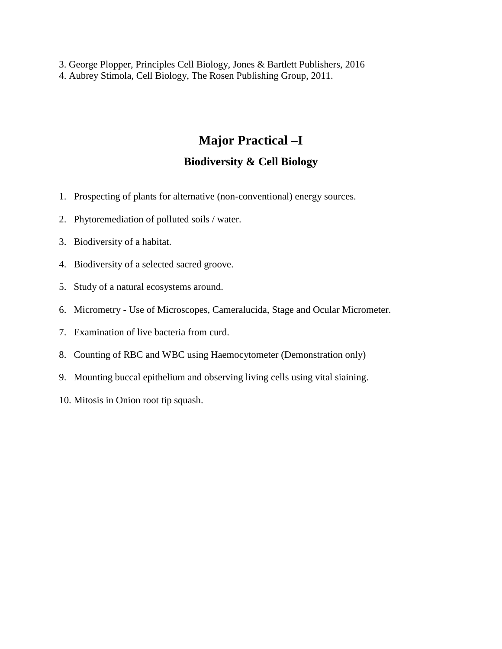3. George Plopper, Principles Cell Biology, Jones & Bartlett Publishers, 2016 4. Aubrey Stimola, Cell Biology, The Rosen Publishing Group, 2011.

# **Major Practical –I**

# **Biodiversity & Cell Biology**

- 1. Prospecting of plants for alternative (non-conventional) energy sources.
- 2. Phytoremediation of polluted soils / water.
- 3. Biodiversity of a habitat.
- 4. Biodiversity of a selected sacred groove.
- 5. Study of a natural ecosystems around.
- 6. Micrometry Use of Microscopes, Cameralucida, Stage and Ocular Micrometer.
- 7. Examination of live bacteria from curd.
- 8. Counting of RBC and WBC using Haemocytometer (Demonstration only)
- 9. Mounting buccal epithelium and observing living cells using vital siaining.
- 10. Mitosis in Onion root tip squash.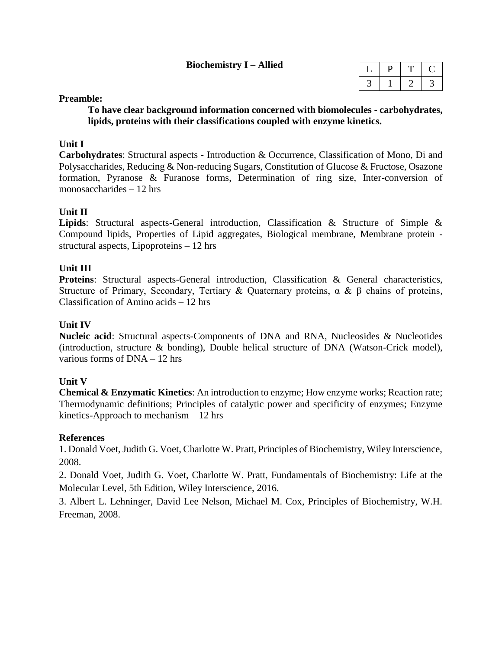#### **Biochemistry I – Allied**

#### **Preamble:**

**To have clear background information concerned with biomolecules - carbohydrates, lipids, proteins with their classifications coupled with enzyme kinetics.**

#### **Unit I**

**Carbohydrates**: Structural aspects - Introduction & Occurrence, Classification of Mono, Di and Polysaccharides, Reducing & Non-reducing Sugars, Constitution of Glucose & Fructose, Osazone formation, Pyranose & Furanose forms, Determination of ring size, Inter-conversion of monosaccharides – 12 hrs

### **Unit II**

**Lipids**: Structural aspects-General introduction, Classification & Structure of Simple & Compound lipids, Properties of Lipid aggregates, Biological membrane, Membrane protein structural aspects, Lipoproteins – 12 hrs

### **Unit III**

**Proteins**: Structural aspects-General introduction, Classification & General characteristics, Structure of Primary, Secondary, Tertiary & Quaternary proteins, α & β chains of proteins, Classification of Amino acids – 12 hrs

### **Unit IV**

**Nucleic acid**: Structural aspects-Components of DNA and RNA, Nucleosides & Nucleotides (introduction, structure & bonding), Double helical structure of DNA (Watson-Crick model), various forms of DNA – 12 hrs

#### **Unit V**

**Chemical & Enzymatic Kinetics**: An introduction to enzyme; How enzyme works; Reaction rate; Thermodynamic definitions; Principles of catalytic power and specificity of enzymes; Enzyme kinetics-Approach to mechanism – 12 hrs

#### **References**

1. Donald Voet, Judith G. Voet, Charlotte W. Pratt, Principles of Biochemistry, Wiley Interscience, 2008.

2. Donald Voet, Judith G. Voet, Charlotte W. Pratt, Fundamentals of Biochemistry: Life at the Molecular Level, 5th Edition, Wiley Interscience, 2016.

3. Albert L. Lehninger, David Lee Nelson, Michael M. Cox, Principles of Biochemistry, W.H. Freeman, 2008.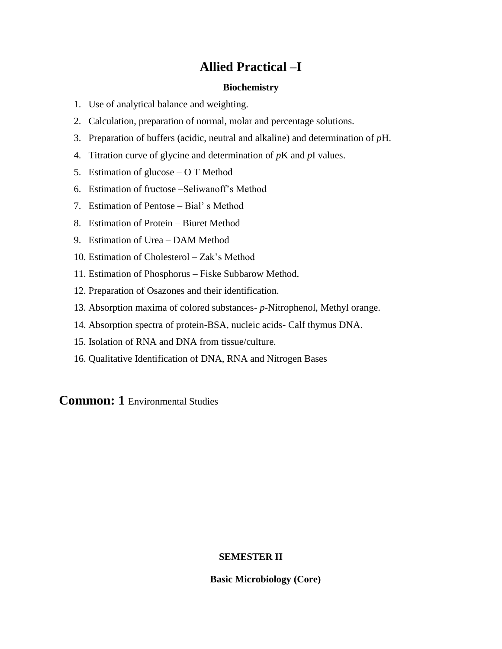# **Allied Practical –I**

#### **Biochemistry**

- 1. Use of analytical balance and weighting.
- 2. Calculation, preparation of normal, molar and percentage solutions.
- 3. Preparation of buffers (acidic, neutral and alkaline) and determination of *p*H.
- 4. Titration curve of glycine and determination of *p*K and *p*I values.
- 5. Estimation of glucose O T Method
- 6. Estimation of fructose –Seliwanoff's Method
- 7. Estimation of Pentose Bial' s Method
- 8. Estimation of Protein Biuret Method
- 9. Estimation of Urea DAM Method
- 10. Estimation of Cholesterol Zak's Method
- 11. Estimation of Phosphorus Fiske Subbarow Method.
- 12. Preparation of Osazones and their identification.
- 13. Absorption maxima of colored substances- *p*-Nitrophenol, Methyl orange.
- 14. Absorption spectra of protein-BSA, nucleic acids- Calf thymus DNA.
- 15. Isolation of RNA and DNA from tissue/culture.
- 16. Qualitative Identification of DNA, RNA and Nitrogen Bases

**Common: 1** Environmental Studies

#### **SEMESTER II**

**Basic Microbiology (Core)**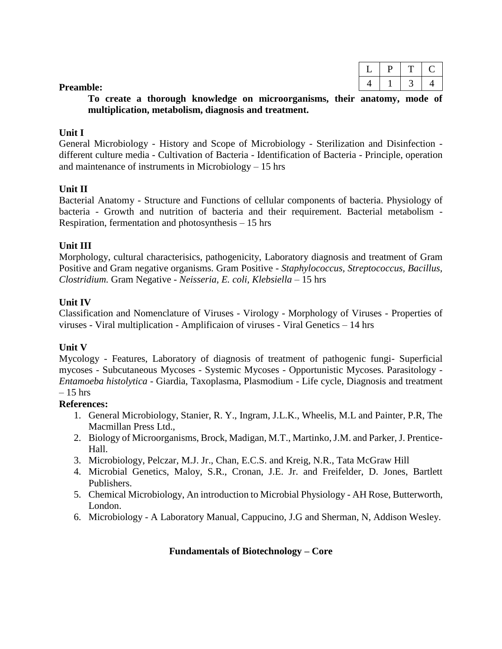#### **Preamble:**

**To create a thorough knowledge on microorganisms, their anatomy, mode of multiplication, metabolism, diagnosis and treatment.**

#### **Unit I**

General Microbiology - History and Scope of Microbiology - Sterilization and Disinfection different culture media - Cultivation of Bacteria - Identification of Bacteria - Principle, operation and maintenance of instruments in Microbiology – 15 hrs

#### **Unit II**

Bacterial Anatomy - Structure and Functions of cellular components of bacteria. Physiology of bacteria - Growth and nutrition of bacteria and their requirement. Bacterial metabolism - Respiration, fermentation and photosynthesis – 15 hrs

#### **Unit III**

Morphology, cultural characterisics, pathogenicity, Laboratory diagnosis and treatment of Gram Positive and Gram negative organisms. Gram Positive - *Staphylococcus, Streptococcus, Bacillus, Clostridium.* Gram Negative - *Neisseria, E. coli, Klebsiella* – 15 hrs

#### **Unit IV**

Classification and Nomenclature of Viruses - Virology - Morphology of Viruses - Properties of viruses - Viral multiplication - Amplificaion of viruses - Viral Genetics – 14 hrs

### **Unit V**

Mycology - Features, Laboratory of diagnosis of treatment of pathogenic fungi- Superficial mycoses - Subcutaneous Mycoses - Systemic Mycoses - Opportunistic Mycoses. Parasitology - *Entamoeba histolytica* - Giardia, Taxoplasma, Plasmodium - Life cycle, Diagnosis and treatment  $-15$  hrs

#### **References:**

- 1. General Microbiology, Stanier, R. Y., Ingram, J.L.K., Wheelis, M.L and Painter, P.R, The Macmillan Press Ltd.,
- 2. Biology of Microorganisms, Brock, Madigan, M.T., Martinko, J.M. and Parker, J. Prentice-Hall.
- 3. Microbiology, Pelczar, M.J. Jr., Chan, E.C.S. and Kreig, N.R., Tata McGraw Hill
- 4. Microbial Genetics, Maloy, S.R., Cronan, J.E. Jr. and Freifelder, D. Jones, Bartlett Publishers.
- 5. Chemical Microbiology, An introduction to Microbial Physiology AH Rose, Butterworth, London.
- 6. Microbiology A Laboratory Manual, Cappucino, J.G and Sherman, N, Addison Wesley.

#### **Fundamentals of Biotechnology – Core**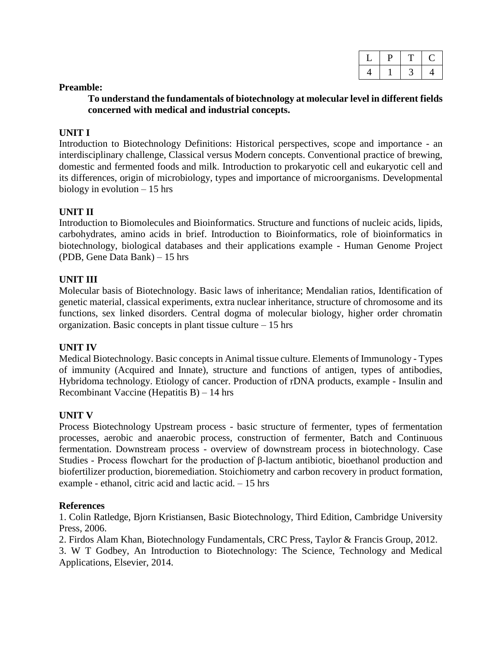| ◡ |  |  |
|---|--|--|
| щ |  |  |

#### **Preamble:**

**To understand the fundamentals of biotechnology at molecular level in different fields concerned with medical and industrial concepts.**

#### **UNIT I**

Introduction to Biotechnology Definitions: Historical perspectives, scope and importance - an interdisciplinary challenge, Classical versus Modern concepts. Conventional practice of brewing, domestic and fermented foods and milk. Introduction to prokaryotic cell and eukaryotic cell and its differences, origin of microbiology, types and importance of microorganisms. Developmental biology in evolution – 15 hrs

#### **UNIT II**

Introduction to Biomolecules and Bioinformatics. Structure and functions of nucleic acids, lipids, carbohydrates, amino acids in brief. Introduction to Bioinformatics, role of bioinformatics in biotechnology, biological databases and their applications example - Human Genome Project (PDB, Gene Data Bank) – 15 hrs

#### **UNIT III**

Molecular basis of Biotechnology. Basic laws of inheritance; Mendalian ratios, Identification of genetic material, classical experiments, extra nuclear inheritance, structure of chromosome and its functions, sex linked disorders. Central dogma of molecular biology, higher order chromatin organization. Basic concepts in plant tissue culture – 15 hrs

#### **UNIT IV**

Medical Biotechnology. Basic concepts in Animal tissue culture. Elements of Immunology - Types of immunity (Acquired and Innate), structure and functions of antigen, types of antibodies, Hybridoma technology. Etiology of cancer. Production of rDNA products, example - Insulin and Recombinant Vaccine (Hepatitis B) – 14 hrs

#### **UNIT V**

Process Biotechnology Upstream process - basic structure of fermenter, types of fermentation processes, aerobic and anaerobic process, construction of fermenter, Batch and Continuous fermentation. Downstream process - overview of downstream process in biotechnology. Case Studies - Process flowchart for the production of β-lactum antibiotic, bioethanol production and biofertilizer production, bioremediation. Stoichiometry and carbon recovery in product formation, example - ethanol, citric acid and lactic acid. – 15 hrs

#### **References**

1. Colin Ratledge, Bjorn Kristiansen, Basic Biotechnology, Third Edition, Cambridge University Press, 2006.

2. Firdos Alam Khan, Biotechnology Fundamentals, CRC Press, Taylor & Francis Group, 2012.

3. W T Godbey, An Introduction to Biotechnology: The Science, Technology and Medical Applications, Elsevier, 2014.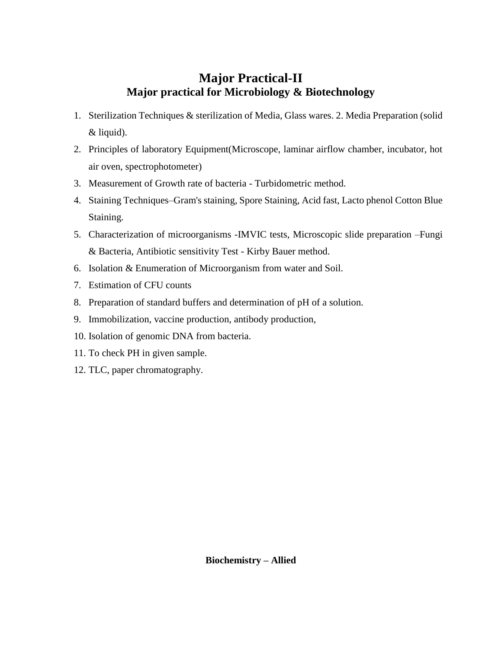# **Major Practical-II Major practical for Microbiology & Biotechnology**

- 1. Sterilization Techniques & sterilization of Media, Glass wares. 2. Media Preparation (solid & liquid).
- 2. Principles of laboratory Equipment(Microscope, laminar airflow chamber, incubator, hot air oven, spectrophotometer)
- 3. Measurement of Growth rate of bacteria Turbidometric method.
- 4. Staining Techniques–Gram's staining, Spore Staining, Acid fast, Lacto phenol Cotton Blue Staining.
- 5. Characterization of microorganisms -IMVIC tests, Microscopic slide preparation –Fungi & Bacteria, Antibiotic sensitivity Test - Kirby Bauer method.
- 6. Isolation & Enumeration of Microorganism from water and Soil.
- 7. Estimation of CFU counts
- 8. Preparation of standard buffers and determination of pH of a solution.
- 9. Immobilization, vaccine production, antibody production,
- 10. Isolation of genomic DNA from bacteria.
- 11. To check PH in given sample.
- 12. TLC, paper chromatography.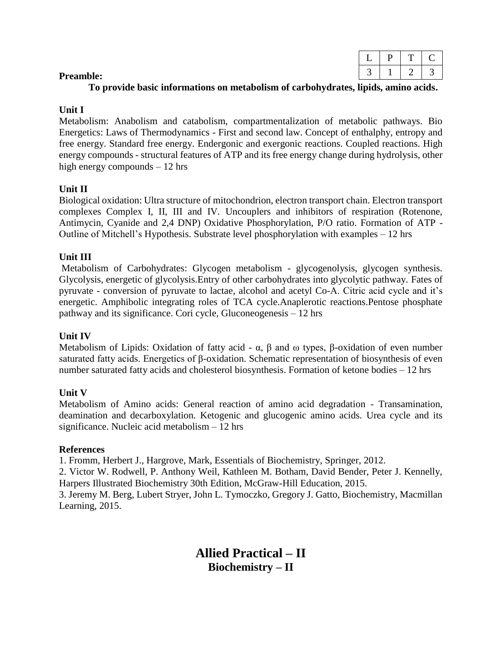### **To provide basic informations on metabolism of carbohydrates, lipids, amino acids.**

### **Unit I**

Metabolism: Anabolism and catabolism, compartmentalization of metabolic pathways. Bio Energetics: Laws of Thermodynamics - First and second law. Concept of enthalphy, entropy and free energy. Standard free energy. Endergonic and exergonic reactions. Coupled reactions. High energy compounds - structural features of ATP and its free energy change during hydrolysis, other high energy compounds – 12 hrs

# **Unit II**

Biological oxidation: Ultra structure of mitochondrion, electron transport chain. Electron transport complexes Complex I, II, III and IV. Uncouplers and inhibitors of respiration (Rotenone, Antimycin, Cyanide and 2,4 DNP) Oxidative Phosphorylation, P/O ratio. Formation of ATP - Outline of Mitchell's Hypothesis. Substrate level phosphorylation with examples – 12 hrs

# **Unit III**

Metabolism of Carbohydrates: Glycogen metabolism - glycogenolysis, glycogen synthesis. Glycolysis, energetic of glycolysis.Entry of other carbohydrates into glycolytic pathway. Fates of pyruvate - conversion of pyruvate to lactae, alcohol and acetyl Co-A. Citric acid cycle and it's energetic. Amphibolic integrating roles of TCA cycle.Anaplerotic reactions.Pentose phosphate pathway and its significance. Cori cycle, Gluconeogenesis – 12 hrs

### **Unit IV**

Metabolism of Lipids: Oxidation of fatty acid - α,  $\beta$  and ω types,  $\beta$ -oxidation of even number saturated fatty acids. Energetics of β-oxidation. Schematic representation of biosynthesis of even number saturated fatty acids and cholesterol biosynthesis. Formation of ketone bodies – 12 hrs

# **Unit V**

Metabolism of Amino acids: General reaction of amino acid degradation - Transamination, deamination and decarboxylation. Ketogenic and glucogenic amino acids. Urea cycle and its significance. Nucleic acid metabolism – 12 hrs

### **References**

1. Fromm, Herbert J., Hargrove, Mark, Essentials of Biochemistry, Springer, 2012.

2. Victor W. Rodwell, P. Anthony Weil, Kathleen M. Botham, David Bender, Peter J. Kennelly, Harpers Illustrated Biochemistry 30th Edition, McGraw-Hill Education, 2015.

3. Jeremy M. Berg, Lubert Stryer, John L. Tymoczko, Gregory J. Gatto, Biochemistry, Macmillan Learning, 2015.

> **Allied Practical – II Biochemistry – II**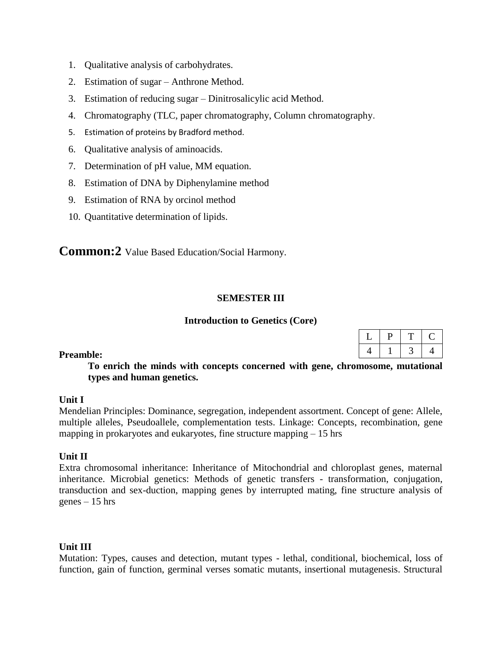- 1. Qualitative analysis of carbohydrates.
- 2. Estimation of sugar Anthrone Method.
- 3. Estimation of reducing sugar Dinitrosalicylic acid Method.
- 4. Chromatography (TLC, paper chromatography, Column chromatography.
- 5. Estimation of proteins by Bradford method.
- 6. Qualitative analysis of aminoacids.
- 7. Determination of pH value, MM equation.
- 8. Estimation of DNA by Diphenylamine method
- 9. Estimation of RNA by orcinol method
- 10. Quantitative determination of lipids.

**Common:2** Value Based Education/Social Harmony.

#### **SEMESTER III**

#### **Introduction to Genetics (Core)**

 $L$  | P | T | C 4 1 3 4

**To enrich the minds with concepts concerned with gene, chromosome, mutational types and human genetics.**

#### **Unit I**

Mendelian Principles: Dominance, segregation, independent assortment. Concept of gene: Allele, multiple alleles, Pseudoallele, complementation tests. Linkage: Concepts, recombination, gene mapping in prokaryotes and eukaryotes, fine structure mapping  $-15$  hrs

#### **Unit II**

Extra chromosomal inheritance: Inheritance of Mitochondrial and chloroplast genes, maternal inheritance. Microbial genetics: Methods of genetic transfers - transformation, conjugation, transduction and sex-duction, mapping genes by interrupted mating, fine structure analysis of genes – 15 hrs

#### **Unit III**

Mutation: Types, causes and detection, mutant types - lethal, conditional, biochemical, loss of function, gain of function, germinal verses somatic mutants, insertional mutagenesis. Structural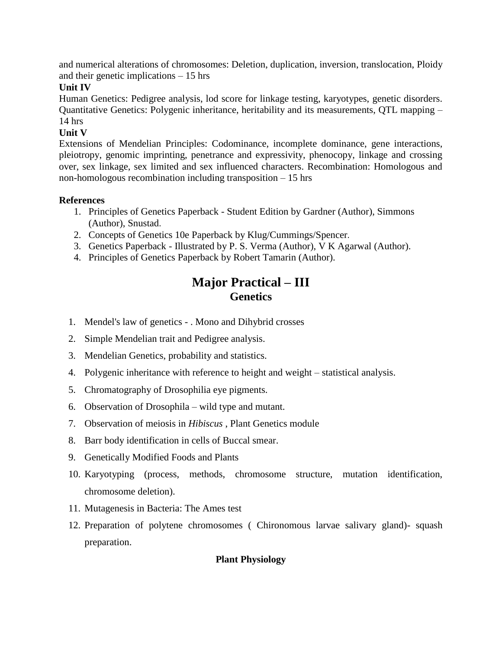and numerical alterations of chromosomes: Deletion, duplication, inversion, translocation, Ploidy and their genetic implications – 15 hrs

#### **Unit IV**

Human Genetics: Pedigree analysis, lod score for linkage testing, karyotypes, genetic disorders. Quantitative Genetics: Polygenic inheritance, heritability and its measurements, QTL mapping – 14 hrs

### **Unit V**

Extensions of Mendelian Principles: Codominance, incomplete dominance, gene interactions, pleiotropy, genomic imprinting, penetrance and expressivity, phenocopy, linkage and crossing over, sex linkage, sex limited and sex influenced characters. Recombination: Homologous and non-homologous recombination including transposition – 15 hrs

#### **References**

- 1. Principles of Genetics Paperback Student Edition by Gardner (Author), Simmons (Author), [Snustad](https://www.amazon.in/s/ref=dp_byline_sr_book_3?ie=UTF8&field-author=Snustad&search-alias=stripbooks).
- 2. Concepts of Genetics 10e Paperback by [Klug/Cummings/Spencer](https://www.amazon.in/s/ref=dp_byline_sr_book_1?ie=UTF8&field-author=Klug%2FCummings%2FSpencer&search-alias=stripbooks).
- 3. Genetics Paperback Illustrated by P. S. [Verma](https://www.amazon.in/s/ref=dp_byline_sr_book_1?ie=UTF8&field-author=P+S+Verma&search-alias=stripbooks) (Author), V K Agarwal (Author).
- 4. Principles of Genetics Paperback by [Robert Tamarin](https://www.amazon.in/s/ref=dp_byline_sr_book_1?ie=UTF8&field-author=Robert+Tamarin&search-alias=stripbooks) (Author).

# **Major Practical – III Genetics**

- 1. Mendel's law of genetics . Mono and Dihybrid crosses
- 2. Simple Mendelian trait and Pedigree analysis.
- 3. Mendelian Genetics, probability and statistics.
- 4. Polygenic inheritance with reference to height and weight statistical analysis.
- 5. Chromatography of Drosophilia eye pigments.
- 6. Observation of Drosophila wild type and mutant.
- 7. Observation of meiosis in *Hibiscus* , Plant Genetics module
- 8. Barr body identification in cells of Buccal smear.
- 9. Genetically Modified Foods and Plants
- 10. Karyotyping (process, methods, chromosome structure, mutation identification, chromosome deletion).
- 11. Mutagenesis in Bacteria: The Ames test
- 12. Preparation of polytene chromosomes ( Chironomous larvae salivary gland)- squash preparation.

# **Plant Physiology**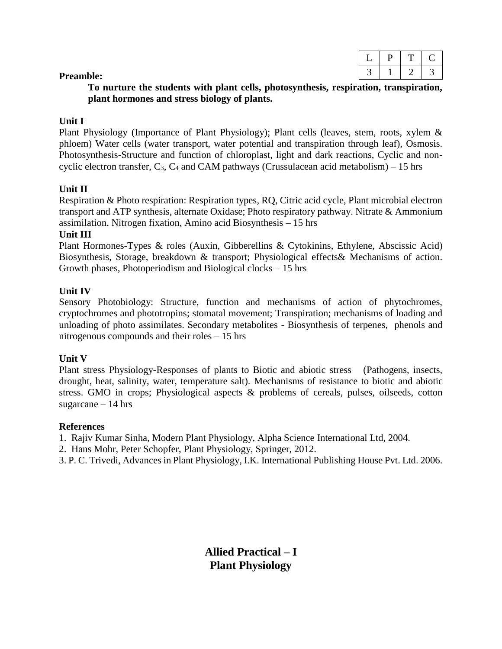#### **Preamble:**

**To nurture the students with plant cells, photosynthesis, respiration, transpiration, plant hormones and stress biology of plants.**

#### **Unit I**

Plant Physiology (Importance of Plant Physiology); Plant cells (leaves, stem, roots, xylem & phloem) Water cells (water transport, water potential and transpiration through leaf), Osmosis. Photosynthesis-Structure and function of chloroplast, light and dark reactions, Cyclic and noncyclic electron transfer,  $C_3$ ,  $C_4$  and CAM pathways (Crussulacean acid metabolism) – 15 hrs

#### **Unit II**

Respiration & Photo respiration: Respiration types, RQ, Citric acid cycle, Plant microbial electron transport and ATP synthesis, alternate Oxidase; Photo respiratory pathway. Nitrate & Ammonium assimilation. Nitrogen fixation, Amino acid Biosynthesis – 15 hrs

#### **Unit III**

Plant Hormones-Types & roles (Auxin, Gibberellins & Cytokinins, Ethylene, Abscissic Acid) Biosynthesis, Storage, breakdown & transport; Physiological effects& Mechanisms of action. Growth phases, Photoperiodism and Biological clocks – 15 hrs

#### **Unit IV**

Sensory Photobiology: Structure, function and mechanisms of action of phytochromes, cryptochromes and phototropins; stomatal movement; Transpiration; mechanisms of loading and unloading of photo assimilates. Secondary metabolites - Biosynthesis of terpenes, phenols and nitrogenous compounds and their roles – 15 hrs

#### **Unit V**

Plant stress Physiology-Responses of plants to Biotic and abiotic stress (Pathogens, insects, drought, heat, salinity, water, temperature salt). Mechanisms of resistance to biotic and abiotic stress. GMO in crops; Physiological aspects & problems of cereals, pulses, oilseeds, cotton sugarcane  $-14$  hrs

#### **References**

1. Rajiv Kumar Sinha, Modern Plant Physiology, Alpha Science International Ltd, 2004.

2. Hans Mohr, Peter Schopfer, Plant Physiology, Springer, 2012.

3. P. C. Trivedi, Advances in Plant Physiology, I.K. International Publishing House Pvt. Ltd. 2006.

**Allied Practical – I Plant Physiology**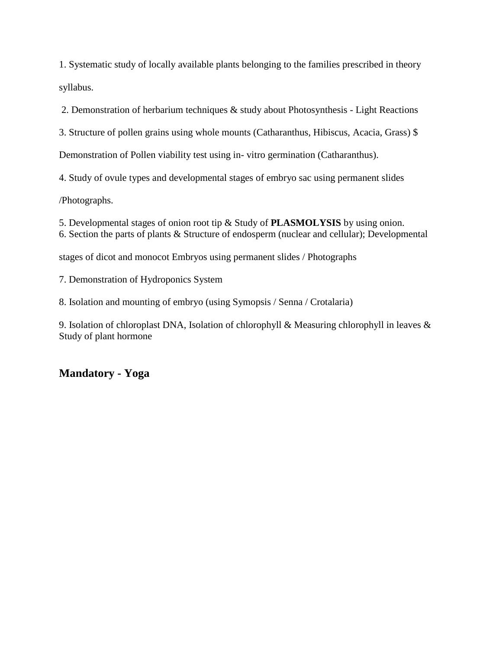1. Systematic study of locally available plants belonging to the families prescribed in theory syllabus.

2. Demonstration of herbarium techniques & study about Photosynthesis - Light Reactions

3. Structure of pollen grains using whole mounts (Catharanthus, Hibiscus, Acacia, Grass) \$

Demonstration of Pollen viability test using in- vitro germination (Catharanthus).

4. Study of ovule types and developmental stages of embryo sac using permanent slides

/Photographs.

5. Developmental stages of onion root tip & Study of **PLASMOLYSIS** by using onion.

6. Section the parts of plants & Structure of endosperm (nuclear and cellular); Developmental

stages of dicot and monocot Embryos using permanent slides / Photographs

7. Demonstration of Hydroponics System

8. Isolation and mounting of embryo (using Symopsis / Senna / Crotalaria)

9. Isolation of chloroplast DNA, Isolation of chlorophyll & Measuring chlorophyll in leaves & Study of plant hormone

# **Mandatory - Yoga**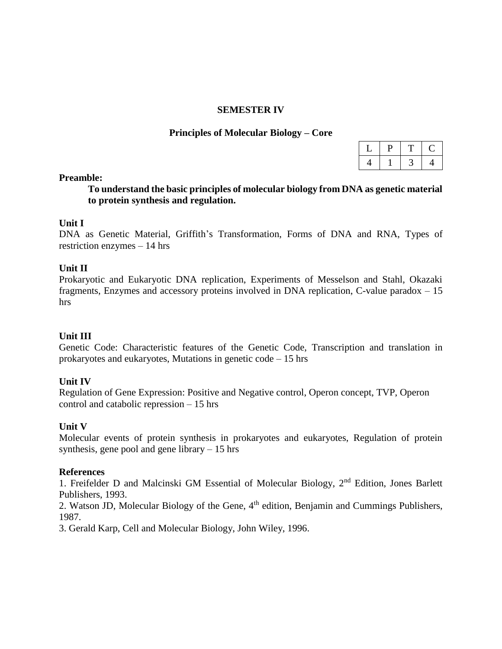#### **SEMESTER IV**

#### **Principles of Molecular Biology – Core**

#### **Preamble:**

**To understand the basic principles of molecular biology from DNA as genetic material to protein synthesis and regulation.**

#### **Unit I**

DNA as Genetic Material, Griffith's Transformation, Forms of DNA and RNA, Types of restriction enzymes – 14 hrs

#### **Unit II**

Prokaryotic and Eukaryotic DNA replication, Experiments of Messelson and Stahl, Okazaki fragments, Enzymes and accessory proteins involved in DNA replication, C-value paradox – 15 hrs

#### **Unit III**

Genetic Code: Characteristic features of the Genetic Code, Transcription and translation in prokaryotes and eukaryotes, Mutations in genetic code – 15 hrs

#### **Unit IV**

Regulation of Gene Expression: Positive and Negative control, Operon concept, TVP, Operon control and catabolic repression – 15 hrs

#### **Unit V**

Molecular events of protein synthesis in prokaryotes and eukaryotes, Regulation of protein synthesis, gene pool and gene library – 15 hrs

#### **References**

1. Freifelder D and Malcinski GM Essential of Molecular Biology, 2<sup>nd</sup> Edition, Jones Barlett Publishers, 1993.

2. Watson JD, Molecular Biology of the Gene, 4<sup>th</sup> edition, Benjamin and Cummings Publishers, 1987.

3. Gerald Karp, Cell and Molecular Biology, John Wiley, 1996.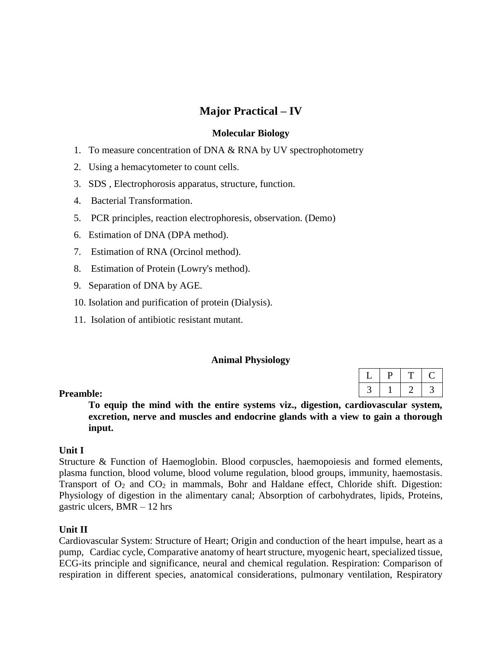# **Major Practical – IV**

#### **Molecular Biology**

- 1. To measure concentration of DNA & RNA by UV spectrophotometry
- 2. Using a hemacytometer to count cells.
- 3. SDS , Electrophorosis apparatus, structure, function.
- 4. Bacterial Transformation.
- 5. PCR principles, reaction electrophoresis, observation. (Demo)
- 6. Estimation of DNA (DPA method).
- 7. Estimation of RNA (Orcinol method).
- 8. Estimation of Protein (Lowry's method).
- 9. Separation of DNA by AGE.
- 10. Isolation and purification of protein (Dialysis).
- 11. Isolation of antibiotic resistant mutant.

#### **Animal Physiology**

#### **Preamble:**

**To equip the mind with the entire systems viz., digestion, cardiovascular system, excretion, nerve and muscles and endocrine glands with a view to gain a thorough input.**

#### **Unit I**

Structure & Function of Haemoglobin. Blood corpuscles, haemopoiesis and formed elements, plasma function, blood volume, blood volume regulation, blood groups, immunity, haemostasis. Transport of  $O_2$  and  $CO_2$  in mammals, Bohr and Haldane effect, Chloride shift. Digestion: Physiology of digestion in the alimentary canal; Absorption of carbohydrates, lipids, Proteins, gastric ulcers, BMR – 12 hrs

#### **Unit II**

Cardiovascular System: Structure of Heart; Origin and conduction of the heart impulse, heart as a pump, Cardiac cycle, Comparative anatomy of heart structure, myogenic heart, specialized tissue, ECG-its principle and significance, neural and chemical regulation. Respiration: Comparison of respiration in different species, anatomical considerations, pulmonary ventilation, Respiratory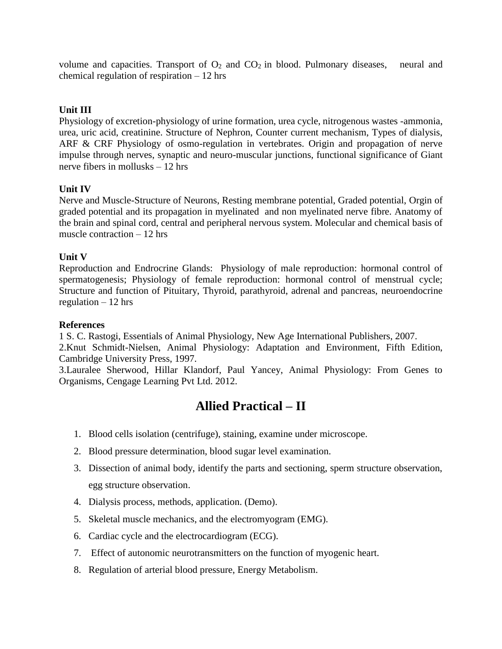volume and capacities. Transport of  $O_2$  and  $CO_2$  in blood. Pulmonary diseases, neural and chemical regulation of respiration – 12 hrs

## **Unit III**

Physiology of excretion-physiology of urine formation, urea cycle, nitrogenous wastes -ammonia, urea, uric acid, creatinine. Structure of Nephron, Counter current mechanism, Types of dialysis, ARF & CRF Physiology of osmo-regulation in vertebrates. Origin and propagation of nerve impulse through nerves, synaptic and neuro-muscular junctions, functional significance of Giant nerve fibers in mollusks – 12 hrs

### **Unit IV**

Nerve and Muscle-Structure of Neurons, Resting membrane potential, Graded potential, Orgin of graded potential and its propagation in myelinated and non myelinated nerve fibre. Anatomy of the brain and spinal cord, central and peripheral nervous system. Molecular and chemical basis of muscle contraction – 12 hrs

#### **Unit V**

Reproduction and Endrocrine Glands: Physiology of male reproduction: hormonal control of spermatogenesis; Physiology of female reproduction: hormonal control of menstrual cycle; Structure and function of Pituitary, Thyroid, parathyroid, adrenal and pancreas, neuroendocrine regulation  $-12$  hrs

#### **References**

1 S. C. Rastogi, Essentials of Animal Physiology, New Age International Publishers, 2007. 2.Knut Schmidt-Nielsen, Animal Physiology: Adaptation and Environment, Fifth Edition, Cambridge University Press, 1997.

3.Lauralee Sherwood, Hillar Klandorf, Paul Yancey, Animal Physiology: From Genes to Organisms, Cengage Learning Pvt Ltd. 2012.

# **Allied Practical – II**

- 1. Blood cells isolation (centrifuge), staining, examine under microscope.
- 2. Blood pressure determination, blood sugar level examination.
- 3. Dissection of animal body, identify the parts and sectioning, sperm structure observation, egg structure observation.
- 4. Dialysis process, methods, application. (Demo).
- 5. Skeletal muscle mechanics, and the electromyogram (EMG).
- 6. Cardiac cycle and the electrocardiogram (ECG).
- 7. Effect of autonomic neurotransmitters on the function of myogenic heart.
- 8. Regulation of arterial blood pressure, Energy Metabolism.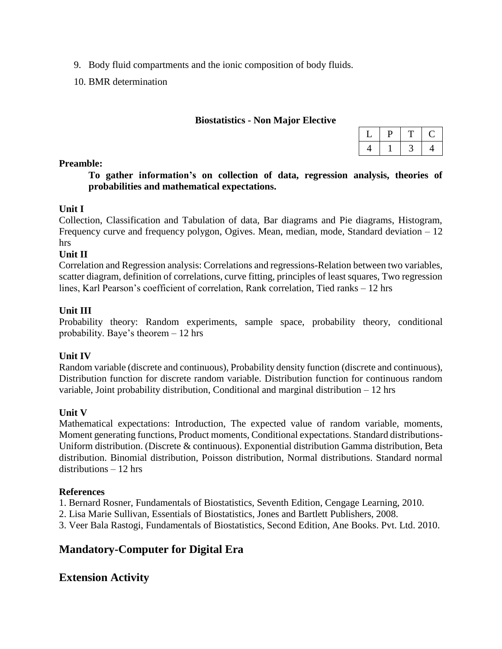- 9. Body fluid compartments and the ionic composition of body fluids.
- 10. BMR determination

#### **Biostatistics - Non Major Elective**

| u |  |
|---|--|
|   |  |

#### **Preamble:**

**To gather information's on collection of data, regression analysis, theories of probabilities and mathematical expectations.**

#### **Unit I**

Collection, Classification and Tabulation of data, Bar diagrams and Pie diagrams, Histogram, Frequency curve and frequency polygon, Ogives. Mean, median, mode, Standard deviation – 12 hrs

#### **Unit II**

Correlation and Regression analysis: Correlations and regressions-Relation between two variables, scatter diagram, definition of correlations, curve fitting, principles of least squares, Two regression lines, Karl Pearson's coefficient of correlation, Rank correlation, Tied ranks – 12 hrs

#### **Unit III**

Probability theory: Random experiments, sample space, probability theory, conditional probability. Baye's theorem – 12 hrs

#### **Unit IV**

Random variable (discrete and continuous), Probability density function (discrete and continuous), Distribution function for discrete random variable. Distribution function for continuous random variable, Joint probability distribution, Conditional and marginal distribution – 12 hrs

### **Unit V**

Mathematical expectations: Introduction, The expected value of random variable, moments, Moment generating functions, Product moments, Conditional expectations. Standard distributions-Uniform distribution. (Discrete & continuous). Exponential distribution Gamma distribution, Beta distribution. Binomial distribution, Poisson distribution, Normal distributions. Standard normal distributions – 12 hrs

### **References**

1. Bernard Rosner, Fundamentals of Biostatistics, Seventh Edition, Cengage Learning, 2010.

- 2. Lisa Marie Sullivan, Essentials of Biostatistics, Jones and Bartlett Publishers, 2008.
- 3. Veer Bala Rastogi, Fundamentals of Biostatistics, Second Edition, Ane Books. Pvt. Ltd. 2010.

# **Mandatory-Computer for Digital Era**

# **Extension Activity**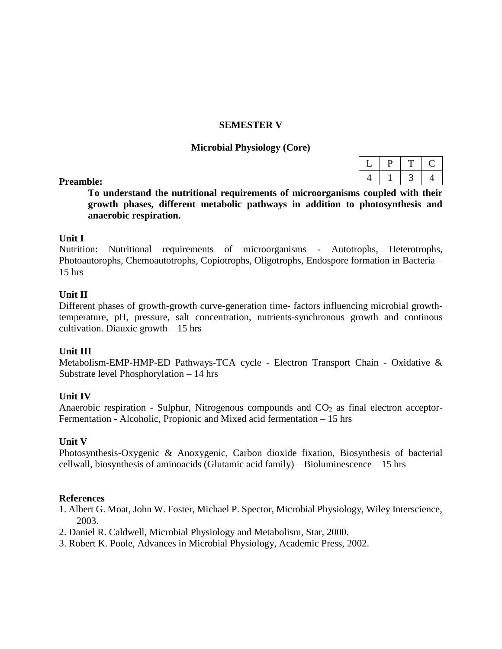#### **SEMESTER V**

#### **Microbial Physiology (Core)**

#### **Preamble:**

**To understand the nutritional requirements of microorganisms coupled with their growth phases, different metabolic pathways in addition to photosynthesis and anaerobic respiration.**

#### **Unit I**

Nutrition: Nutritional requirements of microorganisms - Autotrophs, Heterotrophs, Photoautorophs, Chemoautotrophs, Copiotrophs, Oligotrophs, Endospore formation in Bacteria – 15 hrs

#### **Unit II**

Different phases of growth-growth curve-generation time- factors influencing microbial growthtemperature, pH, pressure, salt concentration, nutrients-synchronous growth and continous cultivation. Diauxic growth  $-15$  hrs

#### **Unit III**

Metabolism-EMP-HMP-ED Pathways-TCA cycle - Electron Transport Chain - Oxidative & Substrate level Phosphorylation – 14 hrs

#### **Unit IV**

Anaerobic respiration - Sulphur, Nitrogenous compounds and  $CO<sub>2</sub>$  as final electron acceptor-Fermentation - Alcoholic, Propionic and Mixed acid fermentation – 15 hrs

#### **Unit V**

Photosynthesis-Oxygenic & Anoxygenic, Carbon dioxide fixation, Biosynthesis of bacterial cellwall, biosynthesis of aminoacids (Glutamic acid family) – Bioluminescence – 15 hrs

- 1. Albert G. Moat, John W. Foster, Michael P. Spector, Microbial Physiology, Wiley Interscience, 2003.
- 2. Daniel R. Caldwell, Microbial Physiology and Metabolism, Star, 2000.
- 3. Robert K. Poole, Advances in Microbial Physiology, Academic Press, 2002.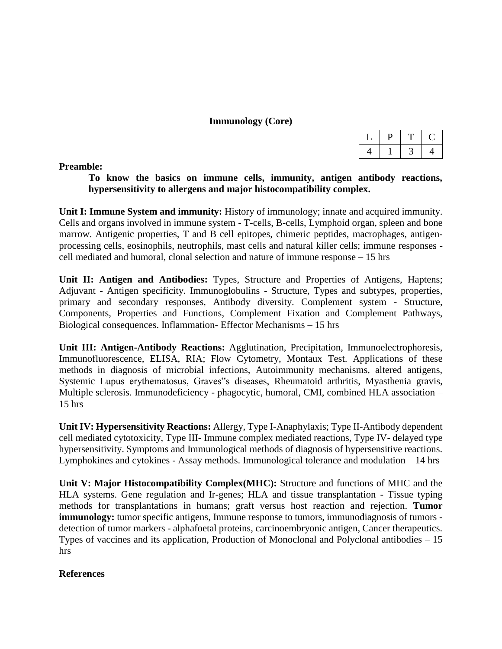#### **Immunology (Core)**

#### **Preamble:**

**To know the basics on immune cells, immunity, antigen antibody reactions, hypersensitivity to allergens and major histocompatibility complex.**

**Unit I: Immune System and immunity:** History of immunology; innate and acquired immunity. Cells and organs involved in immune system - T-cells, B-cells, Lymphoid organ, spleen and bone marrow. Antigenic properties, T and B cell epitopes, chimeric peptides, macrophages, antigenprocessing cells, eosinophils, neutrophils, mast cells and natural killer cells; immune responses cell mediated and humoral, clonal selection and nature of immune response – 15 hrs

**Unit II: Antigen and Antibodies:** Types, Structure and Properties of Antigens, Haptens; Adjuvant - Antigen specificity. Immunoglobulins - Structure, Types and subtypes, properties, primary and secondary responses, Antibody diversity. Complement system - Structure, Components, Properties and Functions, Complement Fixation and Complement Pathways, Biological consequences. Inflammation- Effector Mechanisms – 15 hrs

**Unit III: Antigen-Antibody Reactions:** Agglutination, Precipitation, Immunoelectrophoresis, Immunofluorescence, ELISA, RIA; Flow Cytometry, Montaux Test. Applications of these methods in diagnosis of microbial infections, Autoimmunity mechanisms, altered antigens, Systemic Lupus erythematosus, Graves"s diseases, Rheumatoid arthritis, Myasthenia gravis, Multiple sclerosis. Immunodeficiency - phagocytic, humoral, CMI, combined HLA association – 15 hrs

**Unit IV: Hypersensitivity Reactions:** Allergy, Type I-Anaphylaxis; Type II-Antibody dependent cell mediated cytotoxicity, Type III- Immune complex mediated reactions, Type IV- delayed type hypersensitivity. Symptoms and Immunological methods of diagnosis of hypersensitive reactions. Lymphokines and cytokines - Assay methods. Immunological tolerance and modulation – 14 hrs

**Unit V: Major Histocompatibility Complex(MHC):** Structure and functions of MHC and the HLA systems. Gene regulation and Ir-genes; HLA and tissue transplantation - Tissue typing methods for transplantations in humans; graft versus host reaction and rejection. **Tumor immunology:** tumor specific antigens, Immune response to tumors, immunodiagnosis of tumors detection of tumor markers - alphafoetal proteins, carcinoembryonic antigen, Cancer therapeutics. Types of vaccines and its application, Production of Monoclonal and Polyclonal antibodies – 15 hrs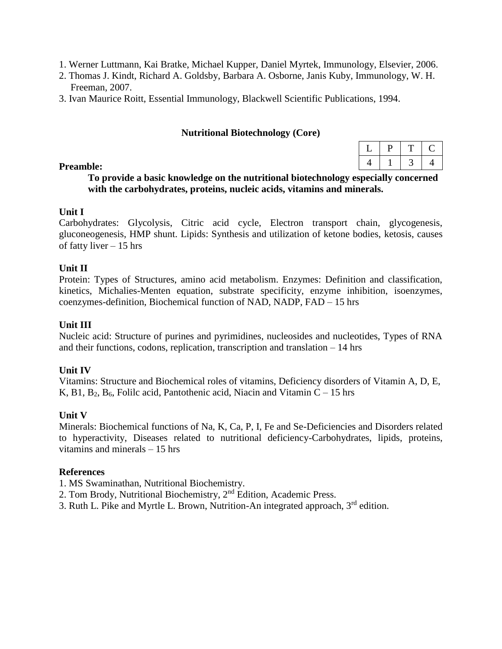- 1. Werner Luttmann, Kai Bratke, Michael Kupper, Daniel Myrtek, Immunology, Elsevier, 2006.
- 2. Thomas J. Kindt, Richard A. Goldsby, Barbara A. Osborne, Janis Kuby, Immunology, W. H. Freeman, 2007.
- 3. Ivan Maurice Roitt, Essential Immunology, Blackwell Scientific Publications, 1994.

#### **Nutritional Biotechnology (Core)**

| ◡ |  |   |
|---|--|---|
| Ч |  | ш |

#### **Preamble:**

#### **To provide a basic knowledge on the nutritional biotechnology especially concerned with the carbohydrates, proteins, nucleic acids, vitamins and minerals.**

#### **Unit I**

Carbohydrates: Glycolysis, Citric acid cycle, Electron transport chain, glycogenesis, gluconeogenesis, HMP shunt. Lipids: Synthesis and utilization of ketone bodies, ketosis, causes of fatty liver – 15 hrs

#### **Unit II**

Protein: Types of Structures, amino acid metabolism. Enzymes: Definition and classification, kinetics, Michalies-Menten equation, substrate specificity, enzyme inhibition, isoenzymes, coenzymes-definition, Biochemical function of NAD, NADP, FAD – 15 hrs

#### **Unit III**

Nucleic acid: Structure of purines and pyrimidines, nucleosides and nucleotides, Types of RNA and their functions, codons, replication, transcription and translation – 14 hrs

#### **Unit IV**

Vitamins: Structure and Biochemical roles of vitamins, Deficiency disorders of Vitamin A, D, E, K, B1,  $B_2$ ,  $B_6$ , Folilc acid, Pantothenic acid, Niacin and Vitamin C – 15 hrs

#### **Unit V**

Minerals: Biochemical functions of Na, K, Ca, P, I, Fe and Se-Deficiencies and Disorders related to hyperactivity, Diseases related to nutritional deficiency-Carbohydrates, lipids, proteins, vitamins and minerals – 15 hrs

- 1. MS Swaminathan, Nutritional Biochemistry.
- 2. Tom Brody, Nutritional Biochemistry, 2nd Edition, Academic Press.
- 3. Ruth L. Pike and Myrtle L. Brown, Nutrition-An integrated approach, 3rd edition.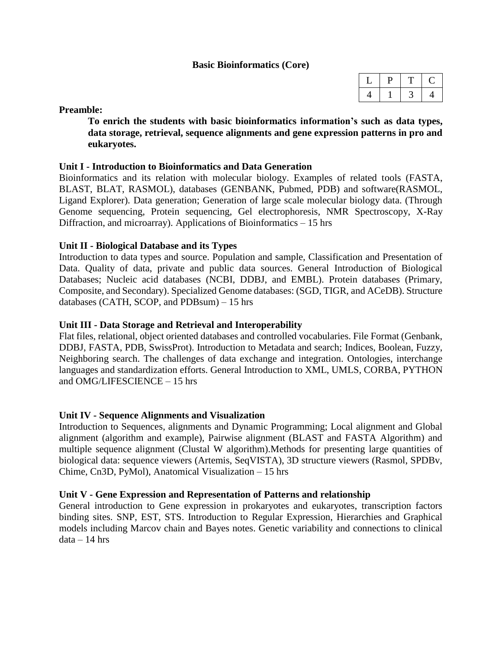#### **Basic Bioinformatics (Core)**

#### **Preamble:**

**To enrich the students with basic bioinformatics information's such as data types, data storage, retrieval, sequence alignments and gene expression patterns in pro and eukaryotes.**

#### **Unit I - Introduction to Bioinformatics and Data Generation**

Bioinformatics and its relation with molecular biology. Examples of related tools (FASTA, BLAST, BLAT, RASMOL), databases (GENBANK, Pubmed, PDB) and software(RASMOL, Ligand Explorer). Data generation; Generation of large scale molecular biology data. (Through Genome sequencing, Protein sequencing, Gel electrophoresis, NMR Spectroscopy, X-Ray Diffraction, and microarray). Applications of Bioinformatics – 15 hrs

#### **Unit II - Biological Database and its Types**

Introduction to data types and source. Population and sample, Classification and Presentation of Data. Quality of data, private and public data sources. General Introduction of Biological Databases; Nucleic acid databases (NCBI, DDBJ, and EMBL). Protein databases (Primary, Composite, and Secondary). Specialized Genome databases: (SGD, TIGR, and ACeDB). Structure databases (CATH, SCOP, and PDBsum) – 15 hrs

#### **Unit III - Data Storage and Retrieval and Interoperability**

Flat files, relational, object oriented databases and controlled vocabularies. File Format (Genbank, DDBJ, FASTA, PDB, SwissProt). Introduction to Metadata and search; Indices, Boolean, Fuzzy, Neighboring search. The challenges of data exchange and integration. Ontologies, interchange languages and standardization efforts. General Introduction to XML, UMLS, CORBA, PYTHON and OMG/LIFESCIENCE – 15 hrs

#### **Unit IV - Sequence Alignments and Visualization**

Introduction to Sequences, alignments and Dynamic Programming; Local alignment and Global alignment (algorithm and example), Pairwise alignment (BLAST and FASTA Algorithm) and multiple sequence alignment (Clustal W algorithm).Methods for presenting large quantities of biological data: sequence viewers (Artemis, SeqVISTA), 3D structure viewers (Rasmol, SPDBv, Chime, Cn3D, PyMol), Anatomical Visualization – 15 hrs

#### **Unit V - Gene Expression and Representation of Patterns and relationship**

General introduction to Gene expression in prokaryotes and eukaryotes, transcription factors binding sites. SNP, EST, STS. Introduction to Regular Expression, Hierarchies and Graphical models including Marcov chain and Bayes notes. Genetic variability and connections to clinical  $data - 14$  hrs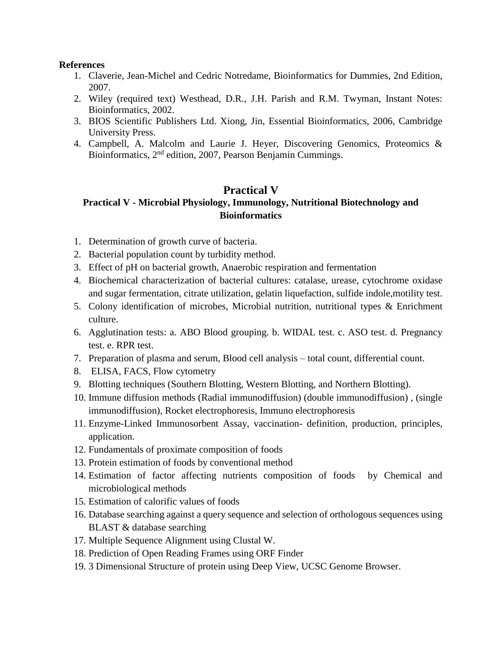#### **References**

- 1. Claverie, Jean-Michel and Cedric Notredame, Bioinformatics for Dummies, 2nd Edition, 2007.
- 2. Wiley (required text) Westhead, D.R., J.H. Parish and R.M. Twyman, Instant Notes: Bioinformatics, 2002.
- 3. BIOS Scientific Publishers Ltd. Xiong, Jin, Essential Bioinformatics, 2006, Cambridge University Press.
- 4. Campbell, A. Malcolm and Laurie J. Heyer, Discovering Genomics, Proteomics & Bioinformatics, 2nd edition, 2007, Pearson Benjamin Cummings.

# **Practical V**

# **Practical V - Microbial Physiology, Immunology, Nutritional Biotechnology and Bioinformatics**

- 1. Determination of growth curve of bacteria.
- 2. Bacterial population count by turbidity method.
- 3. Effect of pH on bacterial growth, Anaerobic respiration and fermentation
- 4. Biochemical characterization of bacterial cultures: catalase, urease, cytochrome oxidase and sugar fermentation, citrate utilization, gelatin liquefaction, sulfide indole,motility test.
- 5. Colony identification of microbes, Microbial nutrition, nutritional types & Enrichment culture.
- 6. Agglutination tests: a. ABO Blood grouping. b. WIDAL test. c. ASO test. d. Pregnancy test. e. RPR test.
- 7. Preparation of plasma and serum, Blood cell analysis total count, differential count.
- 8. ELISA, FACS, Flow cytometry
- 9. Blotting techniques (Southern Blotting, Western Blotting, and Northern Blotting).
- 10. Immune diffusion methods (Radial immunodiffusion) (double immunodiffusion) , (single immunodiffusion), Rocket electrophoresis, Immuno electrophoresis
- 11. Enzyme-Linked Immunosorbent Assay, vaccination- definition, production, principles, application.
- 12. Fundamentals of proximate composition of foods
- 13. Protein estimation of foods by conventional method
- 14. Estimation of factor affecting nutrients composition of foods by Chemical and microbiological methods
- 15. Estimation of calorific values of foods
- 16. Database searching against a query sequence and selection of orthologous sequences using BLAST & database searching
- 17. Multiple Sequence Alignment using Clustal W.
- 18. Prediction of Open Reading Frames using ORF Finder
- 19. 3 Dimensional Structure of protein using Deep View, UCSC Genome Browser.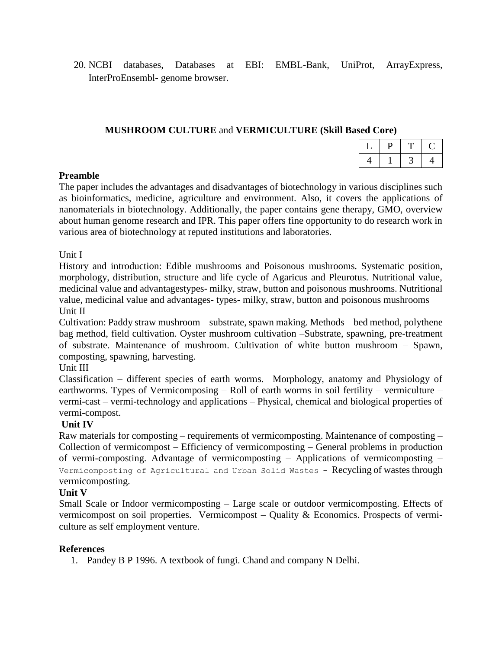20. NCBI databases, Databases at EBI: EMBL-Bank, UniProt, ArrayExpress, InterProEnsembl- genome browser.

#### **MUSHROOM CULTURE** and **VERMICULTURE (Skill Based Core)**

|  | ٠ |
|--|---|

#### **Preamble**

The paper includes the advantages and disadvantages of biotechnology in various disciplines such as bioinformatics, medicine, agriculture and environment. Also, it covers the applications of nanomaterials in biotechnology. Additionally, the paper contains gene therapy, GMO, overview about human genome research and IPR. This paper offers fine opportunity to do research work in various area of biotechnology at reputed institutions and laboratories.

#### Unit I

History and introduction: Edible mushrooms and Poisonous mushrooms. Systematic position, morphology, distribution, structure and life cycle of Agaricus and Pleurotus. Nutritional value, medicinal value and advantagestypes- milky, straw, button and poisonous mushrooms. Nutritional value, medicinal value and advantages- types- milky, straw, button and poisonous mushrooms Unit II

Cultivation: Paddy straw mushroom – substrate, spawn making. Methods – bed method, polythene bag method, field cultivation. Oyster mushroom cultivation –Substrate, spawning, pre-treatment of substrate. Maintenance of mushroom. Cultivation of white button mushroom – Spawn, composting, spawning, harvesting.

### Unit III

Classification – different species of earth worms. Morphology, anatomy and Physiology of earthworms. Types of Vermicomposing – Roll of earth worms in soil fertility – vermiculture – vermi-cast – vermi-technology and applications – Physical, chemical and biological properties of vermi-compost.

### **Unit IV**

Raw materials for composting – requirements of vermicomposting. Maintenance of composting – Collection of vermicompost – Efficiency of vermicomposting – General problems in production of vermi-composting. Advantage of vermicomposting – Applications of vermicomposting – Vermicomposting of Agricultural and Urban Solid Wastes – Recycling of wastes through vermicomposting.

#### **Unit V**

Small Scale or Indoor vermicomposting – Large scale or outdoor vermicomposting. Effects of vermicompost on soil properties. Vermicompost – Quality & Economics. Prospects of vermiculture as self employment venture.

#### **References**

1. Pandey B P 1996. A textbook of fungi. Chand and company N Delhi.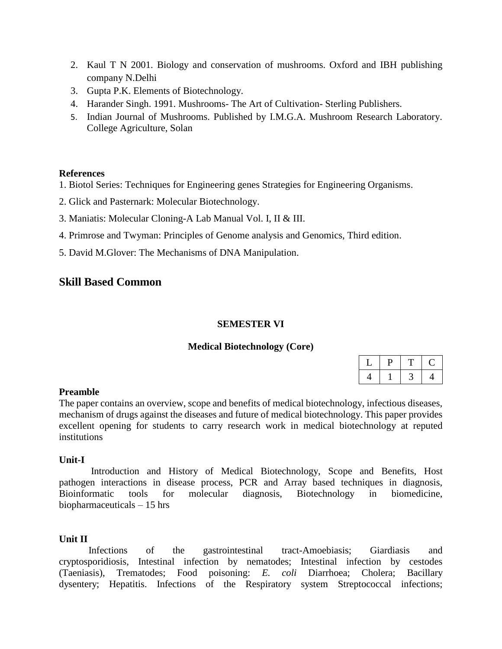- 2. Kaul T N 2001. Biology and conservation of mushrooms. Oxford and IBH publishing company N.Delhi
- 3. Gupta P.K. Elements of Biotechnology.
- 4. Harander Singh. 1991. Mushrooms- The Art of Cultivation- Sterling Publishers.
- 5. Indian Journal of Mushrooms. Published by I.M.G.A. Mushroom Research Laboratory. College Agriculture, Solan

### **References**

- 1. Biotol Series: Techniques for Engineering genes Strategies for Engineering Organisms.
- 2. Glick and Pasternark: Molecular Biotechnology.
- 3. Maniatis: Molecular Cloning-A Lab Manual Vol. I, II & III.
- 4. Primrose and Twyman: Principles of Genome analysis and Genomics, Third edition.
- 5. David M.Glover: The Mechanisms of DNA Manipulation.

# **Skill Based Common**

#### **SEMESTER VI**

#### **Medical Biotechnology (Core)**

#### **Preamble**

The paper contains an overview, scope and benefits of medical biotechnology, infectious diseases, mechanism of drugs against the diseases and future of medical biotechnology. This paper provides excellent opening for students to carry research work in medical biotechnology at reputed institutions

#### **Unit-I**

Introduction and History of Medical Biotechnology, Scope and Benefits, Host pathogen interactions in disease process, PCR and Array based techniques in diagnosis, Bioinformatic tools for molecular diagnosis, Biotechnology in biomedicine, biopharmaceuticals – 15 hrs

#### **Unit II**

Infections of the gastrointestinal tract-Amoebiasis; Giardiasis and cryptosporidiosis, Intestinal infection by nematodes; Intestinal infection by cestodes (Taeniasis), Trematodes; Food poisoning: *E. coli* Diarrhoea; Cholera; Bacillary dysentery; Hepatitis. Infections of the Respiratory system Streptococcal infections;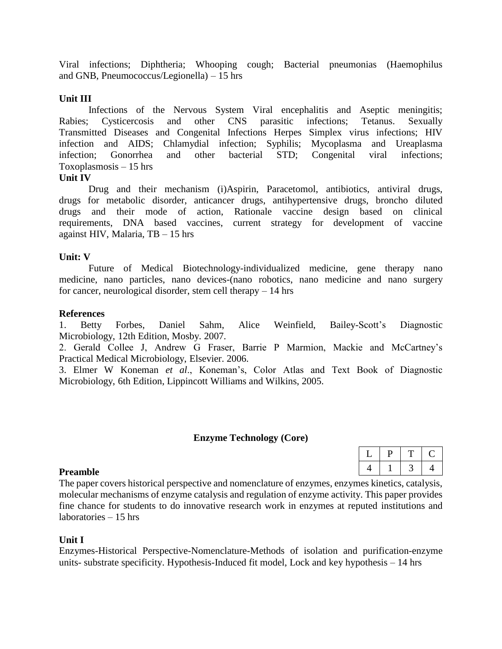Viral infections; Diphtheria; Whooping cough; Bacterial pneumonias (Haemophilus and GNB, Pneumococcus/Legionella) – 15 hrs

#### **Unit III**

Infections of the Nervous System Viral encephalitis and Aseptic meningitis; Rabies; Cysticercosis and other CNS parasitic infections; Tetanus. Sexually Transmitted Diseases and Congenital Infections Herpes Simplex virus infections; HIV infection and AIDS; Chlamydial infection; Syphilis; Mycoplasma and Ureaplasma infection; Gonorrhea and other bacterial STD; Congenital viral infections; Toxoplasmosis – 15 hrs

#### **Unit IV**

Drug and their mechanism (i)Aspirin, Paracetomol, antibiotics, antiviral drugs, drugs for metabolic disorder, anticancer drugs, antihypertensive drugs, broncho diluted drugs and their mode of action, Rationale vaccine design based on clinical requirements, DNA based vaccines, current strategy for development of vaccine against HIV, Malaria, TB – 15 hrs

#### **Unit: V**

Future of Medical Biotechnology-individualized medicine, gene therapy nano medicine, nano particles, nano devices-(nano robotics, nano medicine and nano surgery for cancer, neurological disorder, stem cell therapy – 14 hrs

#### **References**

1. Betty Forbes, Daniel Sahm, Alice Weinfield, Bailey-Scott's Diagnostic Microbiology, 12th Edition, Mosby. 2007.

2. Gerald Collee J, Andrew G Fraser, Barrie P Marmion, Mackie and McCartney's Practical Medical Microbiology, Elsevier. 2006.

3. Elmer W Koneman *et al*., Koneman's, Color Atlas and Text Book of Diagnostic Microbiology, 6th Edition, Lippincott Williams and Wilkins, 2005.

#### **Enzyme Technology (Core)**

#### **Preamble**

The paper covers historical perspective and nomenclature of enzymes, enzymes kinetics, catalysis, molecular mechanisms of enzyme catalysis and regulation of enzyme activity. This paper provides fine chance for students to do innovative research work in enzymes at reputed institutions and laboratories – 15 hrs

#### **Unit I**

Enzymes-Historical Perspective-Nomenclature-Methods of isolation and purification-enzyme units- substrate specificity. Hypothesis-Induced fit model, Lock and key hypothesis – 14 hrs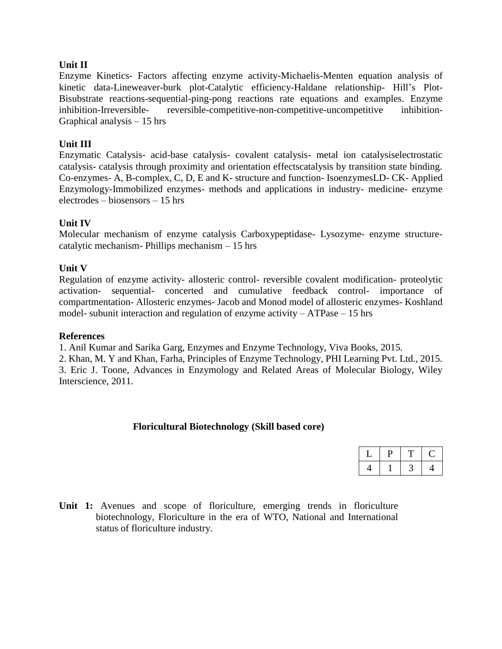#### **Unit II**

Enzyme Kinetics- Factors affecting enzyme activity-Michaelis-Menten equation analysis of kinetic data-Lineweaver-burk plot-Catalytic efficiency-Haldane relationship- Hill's Plot-Bisubstrate reactions-sequential-ping-pong reactions rate equations and examples. Enzyme inhibition-Irreversible- reversible-competitive-non-competitive-uncompetitive inhibition-Graphical analysis – 15 hrs

#### **Unit III**

Enzymatic Catalysis- acid-base catalysis- covalent catalysis- metal ion catalysiselectrostatic catalysis- catalysis through proximity and orientation effectscatalysis by transition state binding. Co-enzymes- A, B-complex, C, D, E and K- structure and function- IsoenzymesLD- CK- Applied Enzymology-Immobilized enzymes- methods and applications in industry- medicine- enzyme electrodes – biosensors – 15 hrs

#### **Unit IV**

Molecular mechanism of enzyme catalysis Carboxypeptidase- Lysozyme- enzyme structurecatalytic mechanism- Phillips mechanism – 15 hrs

#### **Unit V**

Regulation of enzyme activity- allosteric control- reversible covalent modification- proteolytic activation- sequential- concerted and cumulative feedback control- importance of compartmentation- Allosteric enzymes- Jacob and Monod model of allosteric enzymes- Koshland model- subunit interaction and regulation of enzyme activity – ATPase – 15 hrs

#### **References**

1. Anil Kumar and Sarika Garg, Enzymes and Enzyme Technology, Viva Books, 2015.

2. Khan, M. Y and Khan, Farha, Principles of Enzyme Technology, PHI Learning Pvt. Ltd., 2015. 3. Eric J. Toone, Advances in Enzymology and Related Areas of Molecular Biology, Wiley Interscience, 2011.

#### **Floricultural Biotechnology (Skill based core)**

**Unit 1:** Avenues and scope of floriculture, emerging trends in floriculture biotechnology, Floriculture in the era of WTO, National and International status of floriculture industry.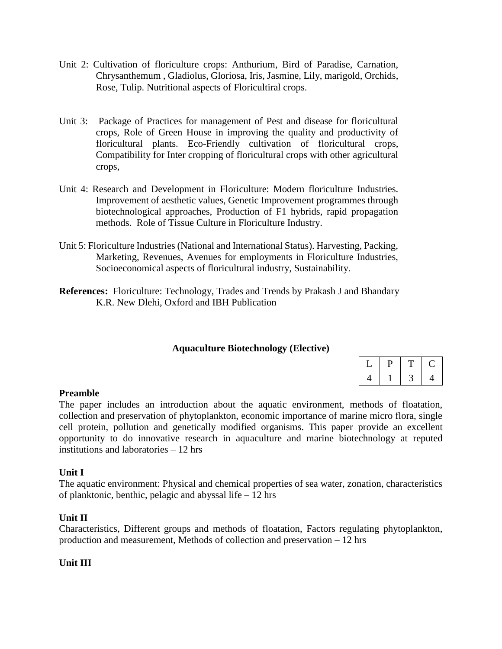- Unit 2: Cultivation of floriculture crops: Anthurium, Bird of Paradise, Carnation, Chrysanthemum , Gladiolus, Gloriosa, Iris, Jasmine, Lily, marigold, Orchids, Rose, Tulip. Nutritional aspects of Floricultiral crops.
- Unit 3: Package of Practices for management of Pest and disease for floricultural crops, Role of Green House in improving the quality and productivity of floricultural plants. Eco-Friendly cultivation of floricultural crops, Compatibility for Inter cropping of floricultural crops with other agricultural crops,
- Unit 4: Research and Development in Floriculture: Modern floriculture Industries. Improvement of aesthetic values, Genetic Improvement programmes through biotechnological approaches, Production of F1 hybrids, rapid propagation methods. Role of Tissue Culture in Floriculture Industry.
- Unit 5: Floriculture Industries (National and International Status). Harvesting, Packing, Marketing, Revenues, Avenues for employments in Floriculture Industries, Socioeconomical aspects of floricultural industry, Sustainability.
- **References:** Floriculture: Technology, Trades and Trends by Prakash J and Bhandary K.R. New Dlehi, Oxford and IBH Publication

### **Aquaculture Biotechnology (Elective)**

### **Preamble**

The paper includes an introduction about the aquatic environment, methods of floatation, collection and preservation of phytoplankton, economic importance of marine micro flora, single cell protein, pollution and genetically modified organisms. This paper provide an excellent opportunity to do innovative research in aquaculture and marine biotechnology at reputed institutions and laboratories – 12 hrs

#### **Unit I**

The aquatic environment: Physical and chemical properties of sea water, zonation, characteristics of planktonic, benthic, pelagic and abyssal life – 12 hrs

#### **Unit II**

Characteristics, Different groups and methods of floatation, Factors regulating phytoplankton, production and measurement, Methods of collection and preservation – 12 hrs

#### **Unit III**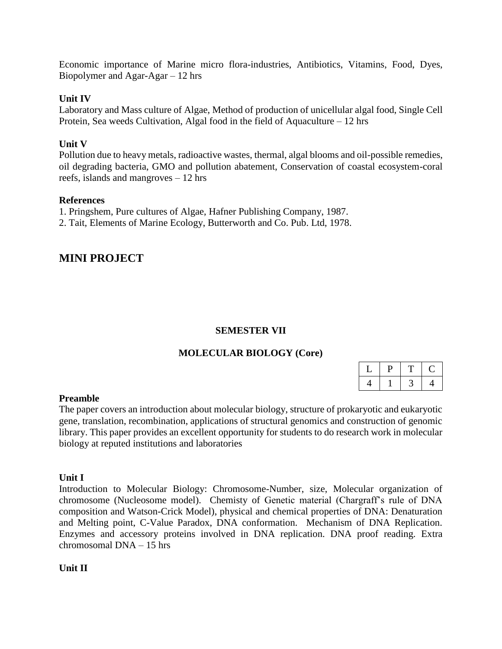Economic importance of Marine micro flora-industries, Antibiotics, Vitamins, Food, Dyes, Biopolymer and Agar-Agar – 12 hrs

#### **Unit IV**

Laboratory and Mass culture of Algae, Method of production of unicellular algal food, Single Cell Protein, Sea weeds Cultivation, Algal food in the field of Aquaculture – 12 hrs

#### **Unit V**

Pollution due to heavy metals, radioactive wastes, thermal, algal blooms and oil-possible remedies, oil degrading bacteria, GMO and pollution abatement, Conservation of coastal ecosystem-coral reefs, islands and mangroves – 12 hrs

#### **References**

1. Pringshem, Pure cultures of Algae, Hafner Publishing Company, 1987.

2. Tait, Elements of Marine Ecology, Butterworth and Co. Pub. Ltd, 1978.

# **MINI PROJECT**

### **SEMESTER VII**

### **MOLECULAR BIOLOGY (Core)**

| - |  |  |
|---|--|--|
|   |  |  |

#### **Preamble**

The paper covers an introduction about molecular biology, structure of prokaryotic and eukaryotic gene, translation, recombination, applications of structural genomics and construction of genomic library. This paper provides an excellent opportunity for students to do research work in molecular biology at reputed institutions and laboratories

#### **Unit I**

Introduction to Molecular Biology: Chromosome-Number, size, Molecular organization of chromosome (Nucleosome model). Chemisty of Genetic material (Chargraff's rule of DNA composition and Watson-Crick Model), physical and chemical properties of DNA: Denaturation and Melting point, C-Value Paradox, DNA conformation. Mechanism of DNA Replication. Enzymes and accessory proteins involved in DNA replication. DNA proof reading. Extra chromosomal DNA – 15 hrs

#### **Unit II**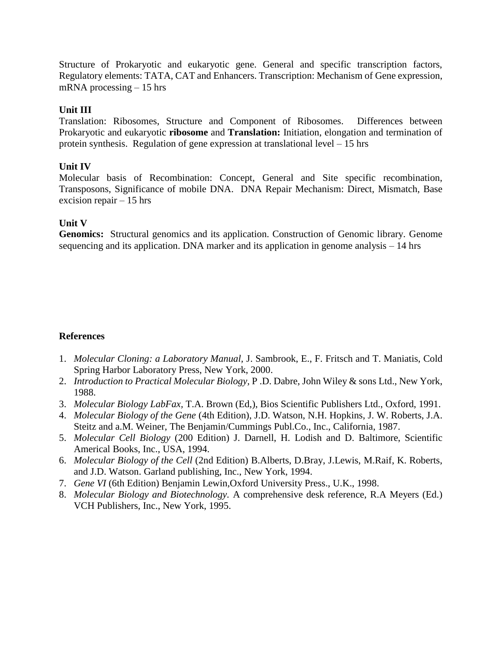Structure of Prokaryotic and eukaryotic gene. General and specific transcription factors, Regulatory elements: TATA, CAT and Enhancers. Transcription: Mechanism of Gene expression, mRNA processing – 15 hrs

#### **Unit III**

Translation: Ribosomes, Structure and Component of Ribosomes. Differences between Prokaryotic and eukaryotic **ribosome** and **Translation:** Initiation, elongation and termination of protein synthesis. Regulation of gene expression at translational level – 15 hrs

#### **Unit IV**

Molecular basis of Recombination: Concept, General and Site specific recombination, Transposons, Significance of mobile DNA. DNA Repair Mechanism: Direct, Mismatch, Base excision repair – 15 hrs

#### **Unit V**

**Genomics:** Structural genomics and its application. Construction of Genomic library. Genome sequencing and its application. DNA marker and its application in genome analysis – 14 hrs

- 1. *Molecular Cloning: a Laboratory Manual,* J. Sambrook, E., F. Fritsch and T. Maniatis, Cold Spring Harbor Laboratory Press, New York, 2000.
- 2. *Introduction to Practical Molecular Biology,* P .D. Dabre, John Wiley & sons Ltd., New York, 1988.
- 3. *Molecular Biology LabFax,* T.A. Brown (Ed,), Bios Scientific Publishers Ltd., Oxford, 1991.
- 4. *Molecular Biology of the Gene* (4th Edition), J.D. Watson, N.H. Hopkins, J. W. Roberts, J.A. Steitz and a.M. Weiner, The Benjamin/Cummings Publ.Co., Inc., California, 1987.
- 5. *Molecular Cell Biology* (200 Edition) J. Darnell, H. Lodish and D. Baltimore, Scientific Americal Books, Inc., USA, 1994.
- 6. *Molecular Biology of the Cell* (2nd Edition) B.Alberts, D.Bray, J.Lewis, M.Raif, K. Roberts, and J.D. Watson. Garland publishing, Inc., New York, 1994.
- 7. *Gene VI* (6th Edition) Benjamin Lewin,Oxford University Press., U.K., 1998.
- 8. *Molecular Biology and Biotechnology.* A comprehensive desk reference, R.A Meyers (Ed.) VCH Publishers, Inc., New York, 1995.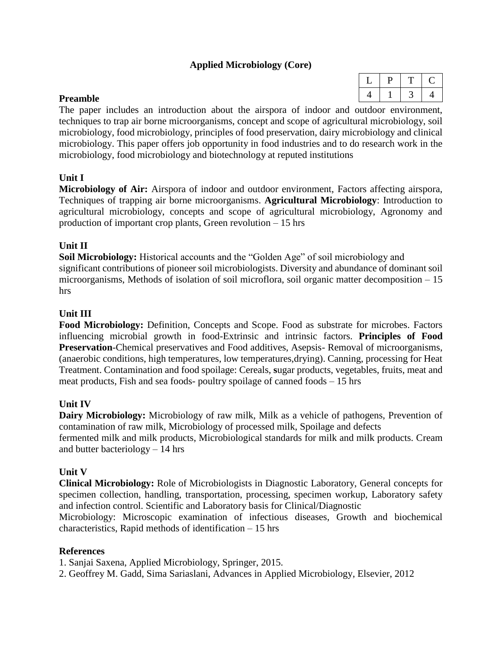### **Applied Microbiology (Core)**

#### **Preamble**

The paper includes an introduction about the airspora of indoor and outdoor environment, techniques to trap air borne microorganisms, concept and scope of agricultural microbiology, soil microbiology, food microbiology, principles of food preservation, dairy microbiology and clinical microbiology. This paper offers job opportunity in food industries and to do research work in the microbiology, food microbiology and biotechnology at reputed institutions

#### **Unit I**

**Microbiology of Air:** Airspora of indoor and outdoor environment, Factors affecting airspora, Techniques of trapping air borne microorganisms. **Agricultural Microbiology**: Introduction to agricultural microbiology, concepts and scope of agricultural microbiology, Agronomy and production of important crop plants, Green revolution – 15 hrs

#### **Unit II**

**Soil Microbiology:** Historical accounts and the "Golden Age" of soil microbiology and significant contributions of pioneer soil microbiologists. Diversity and abundance of dominant soil microorganisms, Methods of isolation of soil microflora, soil organic matter decomposition – 15 hrs

#### **Unit III**

**Food Microbiology:** Definition, Concepts and Scope. Food as substrate for microbes. Factors influencing microbial growth in food-Extrinsic and intrinsic factors. **Principles of Food Preservation**-Chemical preservatives and Food additives, Asepsis- Removal of microorganisms, (anaerobic conditions, high temperatures, low temperatures,drying). Canning, processing for Heat Treatment. Contamination and food spoilage: Cereals, **s**ugar products, vegetables, fruits, meat and meat products, Fish and sea foods- poultry spoilage of canned foods – 15 hrs

### **Unit IV**

**Dairy Microbiology:** Microbiology of raw milk, Milk as a vehicle of pathogens, Prevention of contamination of raw milk, Microbiology of processed milk, Spoilage and defects fermented milk and milk products, Microbiological standards for milk and milk products. Cream and butter bacteriology – 14 hrs

#### **Unit V**

**Clinical Microbiology:** Role of Microbiologists in Diagnostic Laboratory, General concepts for specimen collection, handling, transportation, processing, specimen workup, Laboratory safety and infection control. Scientific and Laboratory basis for Clinical/Diagnostic

Microbiology: Microscopic examination of infectious diseases, Growth and biochemical characteristics, Rapid methods of identification – 15 hrs

#### **References**

1. Sanjai Saxena, Applied Microbiology, Springer, 2015.

2. Geoffrey M. Gadd, Sima Sariaslani, Advances in Applied Microbiology, Elsevier, 2012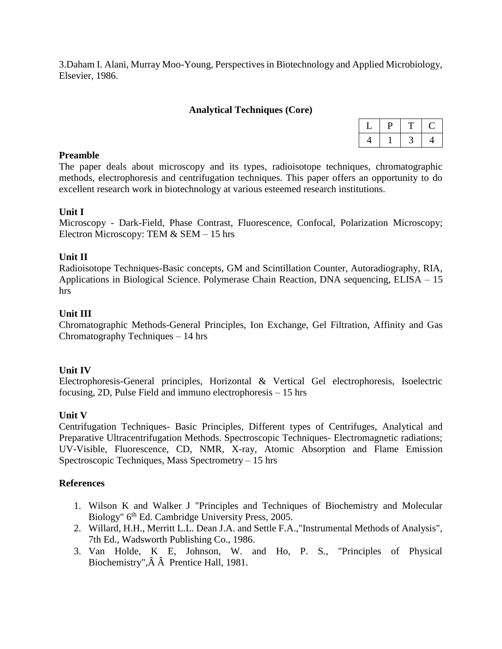3.Daham I. Alani, Murray Moo-Young, Perspectives in Biotechnology and Applied Microbiology, Elsevier, 1986.

#### **Analytical Techniques (Core)**

#### **Preamble**

The paper deals about microscopy and its types, radioisotope techniques, chromatographic methods, electrophoresis and centrifugation techniques. This paper offers an opportunity to do excellent research work in biotechnology at various esteemed research institutions.

#### **Unit I**

Microscopy - Dark-Field, Phase Contrast, Fluorescence, Confocal, Polarization Microscopy; Electron Microscopy: TEM & SEM – 15 hrs

#### **Unit II**

Radioisotope Techniques-Basic concepts, GM and Scintillation Counter, Autoradiography, RIA, Applications in Biological Science. Polymerase Chain Reaction, DNA sequencing, ELISA – 15 hrs

#### **Unit III**

Chromatographic Methods-General Principles, Ion Exchange, Gel Filtration, Affinity and Gas Chromatography Techniques – 14 hrs

#### **Unit IV**

Electrophoresis-General principles, Horizontal & Vertical Gel electrophoresis, Isoelectric focusing, 2D, Pulse Field and immuno electrophoresis – 15 hrs

#### **Unit V**

Centrifugation Techniques- Basic Principles, Different types of Centrifuges, Analytical and Preparative Ultracentrifugation Methods. Spectroscopic Techniques- Electromagnetic radiations; UV-Visible, Fluorescence, CD, NMR, X-ray, Atomic Absorption and Flame Emission Spectroscopic Techniques, Mass Spectrometry – 15 hrs

- 1. Wilson K and Walker J "Principles and Techniques of Biochemistry and Molecular Biology" 6<sup>th</sup> Ed. Cambridge University Press, 2005.
- 2. Willard, H.H., Merritt L.L. Dean J.A. and Settle F.A.,"Instrumental Methods of Analysis", 7th Ed., Wadsworth Publishing Co., 1986.
- 3. Van Holde, K E, Johnson, W. and Ho, P. S., "Principles of Physical Biochemistry",Â Â Prentice Hall, 1981.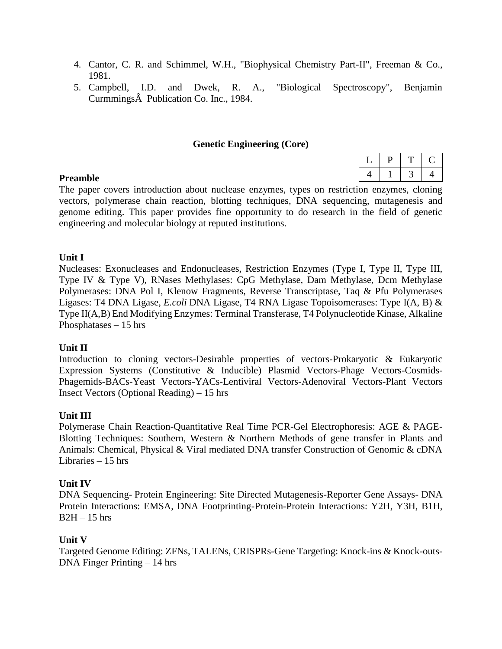- 4. Cantor, C. R. and Schimmel, W.H., "Biophysical Chemistry Part-II", Freeman & Co., 1981.
- 5. Campbell, I.D. and Dwek, R. A., "Biological Spectroscopy", Benjamin CurmmingsÂ Publication Co. Inc., 1984.

#### **Genetic Engineering (Core)**

| ٠ |  |
|---|--|
|   |  |

#### **Preamble**

The paper covers introduction about nuclease enzymes, types on restriction enzymes, cloning vectors, polymerase chain reaction, blotting techniques, DNA sequencing, mutagenesis and genome editing. This paper provides fine opportunity to do research in the field of genetic engineering and molecular biology at reputed institutions.

#### **Unit I**

Nucleases: Exonucleases and Endonucleases, Restriction Enzymes (Type I, Type II, Type III, Type IV & Type V), RNases Methylases: CpG Methylase, Dam Methylase, Dcm Methylase Polymerases: DNA Pol I, Klenow Fragments, Reverse Transcriptase, Taq & Pfu Polymerases Ligases: T4 DNA Ligase, *E.coli* DNA Ligase, T4 RNA Ligase Topoisomerases: Type I(A, B) & Type II(A,B) End Modifying Enzymes: Terminal Transferase, T4 Polynucleotide Kinase, Alkaline Phosphatases – 15 hrs

#### **Unit II**

Introduction to cloning vectors-Desirable properties of vectors-Prokaryotic & Eukaryotic Expression Systems (Constitutive & Inducible) Plasmid Vectors-Phage Vectors-Cosmids-Phagemids-BACs-Yeast Vectors-YACs-Lentiviral Vectors-Adenoviral Vectors-Plant Vectors Insect Vectors (Optional Reading) – 15 hrs

#### **Unit III**

Polymerase Chain Reaction-Quantitative Real Time PCR-Gel Electrophoresis: AGE & PAGE-Blotting Techniques: Southern, Western & Northern Methods of gene transfer in Plants and Animals: Chemical, Physical & Viral mediated DNA transfer Construction of Genomic & cDNA Libraries – 15 hrs

### **Unit IV**

DNA Sequencing- Protein Engineering: Site Directed Mutagenesis-Reporter Gene Assays- DNA Protein Interactions: EMSA, DNA Footprinting-Protein-Protein Interactions: Y2H, Y3H, B1H,  $B2H - 15$  hrs

#### **Unit V**

Targeted Genome Editing: ZFNs, TALENs, CRISPRs-Gene Targeting: Knock-ins & Knock-outs-DNA Finger Printing – 14 hrs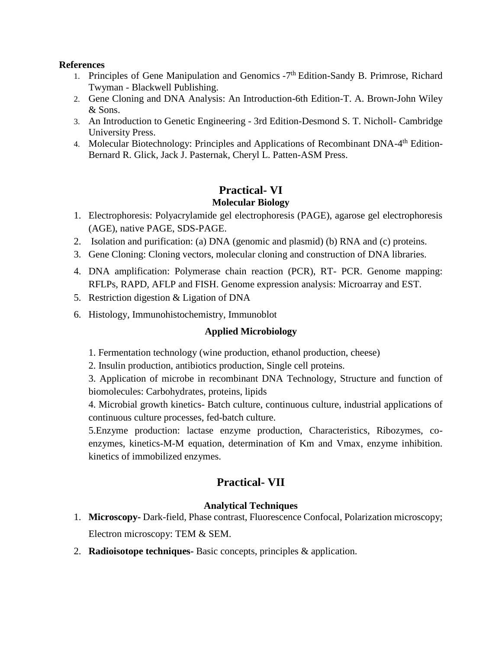#### **References**

- 1. [Principles of Gene Manipulation and Genomics](http://as.wiley.com/WileyCDA/WileyTitle/productCd-EHEP002330.html)  $-7<sup>th</sup>$  Edition-Sandy B. Primrose, Richard Twyman - Blackwell Publishing.
- 2. [Gene Cloning and DNA Analysis: An Introduction-](http://as.wiley.com/WileyCDA/WileyTitle/productCd-EHEP002314.html)6th Edition-T. A. Brown-John Wiley & Sons.
- 3. [An Introduction to Genetic Engineering](http://www.cambridge.org/us/academic/subjects/life-sciences/genetics/introduction-genetic-engineering-3rd-edition) 3rd Edition-Desmond S. T. Nicholl- Cambridge University Press.
- 4. [Molecular Biotechnology: Principles and Applications of Recombinant DNA-](http://books.google.co.in/books/about/Molecular_Biotechnology.html?id=Wz3CtTBe9aUC)4<sup>th</sup> Edition-Bernard R. Glick, Jack J. Pasternak, Cheryl L. Patten-ASM Press.

# **Practical- VI**

- **Molecular Biology**
- 1. Electrophoresis: Polyacrylamide gel electrophoresis (PAGE), agarose gel electrophoresis (AGE), native PAGE, SDS-PAGE.
- 2. Isolation and purification: (a) DNA (genomic and plasmid) (b) RNA and (c) proteins.
- 3. Gene Cloning: Cloning vectors, molecular cloning and construction of DNA libraries.
- 4. DNA amplification: Polymerase chain reaction (PCR), RT- PCR. Genome mapping: RFLPs, RAPD, AFLP and FISH. Genome expression analysis: Microarray and EST.
- 5. Restriction digestion & Ligation of DNA
- 6. Histology, Immunohistochemistry, Immunoblot

# **Applied Microbiology**

- 1. Fermentation technology (wine production, ethanol production, cheese)
- 2. Insulin production, antibiotics production, Single cell proteins.

3. Application of microbe in recombinant DNA Technology, Structure and function of biomolecules: Carbohydrates, proteins, lipids

4. Microbial growth kinetics- Batch culture, continuous culture, industrial applications of continuous culture processes, fed-batch culture.

5.Enzyme production: lactase enzyme production, Characteristics, Ribozymes, coenzymes, kinetics-M-M equation, determination of Km and Vmax, enzyme inhibition. kinetics of immobilized enzymes.

# **Practical- VII**

# **Analytical Techniques**

- 1. **Microscopy-** Dark-field, Phase contrast, Fluorescence Confocal, Polarization microscopy; Electron microscopy: TEM & SEM.
- 2. **Radioisotope techniques-** Basic concepts, principles & application.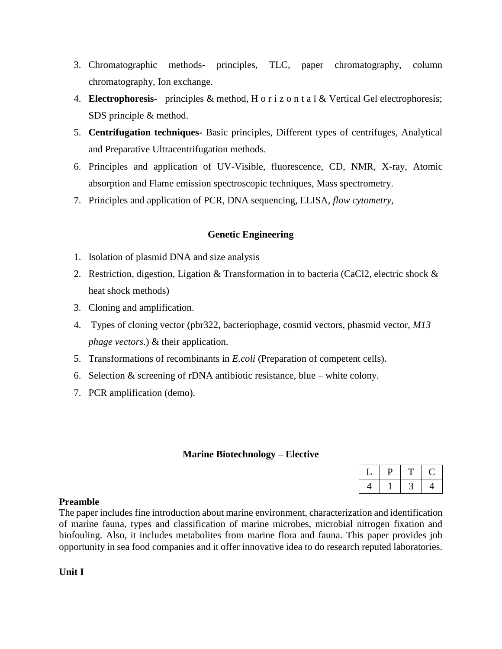- 3. Chromatographic methods- principles, TLC, paper chromatography, column chromatography, Ion exchange.
- 4. **Electrophoresis-** principles & method, H o r i z o n t a l & Vertical Gel electrophoresis; SDS principle & method.
- 5. **Centrifugation techniques-** Basic principles, Different types of centrifuges, Analytical and Preparative Ultracentrifugation methods.
- 6. Principles and application of UV-Visible, fluorescence, CD, NMR, X-ray, Atomic absorption and Flame emission spectroscopic techniques, Mass spectrometry.
- 7. Principles and application of PCR, DNA sequencing, ELISA, *flow cytometry,*

### **Genetic Engineering**

- 1. Isolation of plasmid DNA and size analysis
- 2. Restriction, digestion, Ligation & Transformation in to bacteria (CaCl2, electric shock  $\&$ heat shock methods)
- 3. Cloning and amplification.
- 4. Types of cloning vector (pbr322, bacteriophage, cosmid vectors, phasmid vector, *M13 phage vectors*.) & their application.
- 5. Transformations of recombinants in *E.coli* (Preparation of competent cells).
- 6. Selection  $&$  screening of rDNA antibiotic resistance, blue white colony.
- 7. PCR amplification (demo).

#### **Marine Biotechnology – Elective**

#### **Preamble**

The paper includes fine introduction about marine environment, characterization and identification of marine fauna, types and classification of marine microbes, microbial nitrogen fixation and biofouling. Also, it includes metabolites from marine flora and fauna. This paper provides job opportunity in sea food companies and it offer innovative idea to do research reputed laboratories.

**Unit I**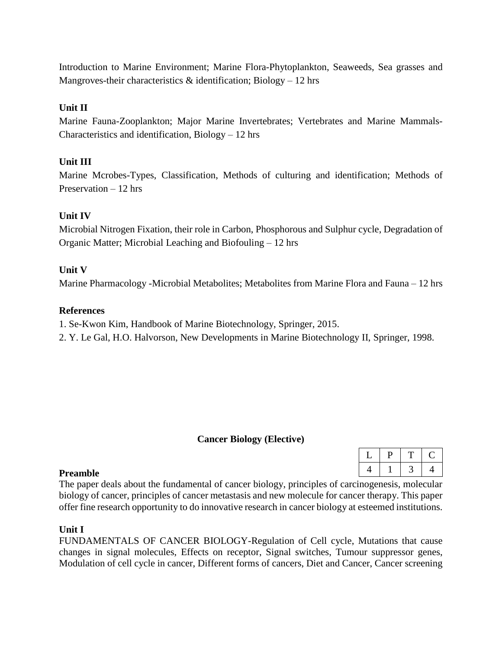Introduction to Marine Environment; Marine Flora-Phytoplankton, Seaweeds, Sea grasses and Mangroves-their characteristics  $\&$  identification; Biology – 12 hrs

#### **Unit II**

Marine Fauna-Zooplankton; Major Marine Invertebrates; Vertebrates and Marine Mammals-Characteristics and identification,  $Biology - 12$  hrs

#### **Unit III**

Marine Mcrobes-Types, Classification, Methods of culturing and identification; Methods of Preservation – 12 hrs

#### **Unit IV**

Microbial Nitrogen Fixation, their role in Carbon, Phosphorous and Sulphur cycle, Degradation of Organic Matter; Microbial Leaching and Biofouling – 12 hrs

#### **Unit V**

Marine Pharmacology -Microbial Metabolites; Metabolites from Marine Flora and Fauna – 12 hrs

#### **References**

1. Se-Kwon Kim, Handbook of Marine Biotechnology, Springer, 2015.

2. Y. Le Gal, H.O. Halvorson, New Developments in Marine Biotechnology II, Springer, 1998.

#### **Cancer Biology (Elective)**

 $L | P | T | C$ 4 1 3 4

#### **Preamble**

The paper deals about the fundamental of cancer biology, principles of carcinogenesis, molecular biology of cancer, principles of cancer metastasis and new molecule for cancer therapy. This paper offer fine research opportunity to do innovative research in cancer biology at esteemed institutions.

#### **Unit I**

FUNDAMENTALS OF CANCER BIOLOGY-Regulation of Cell cycle, Mutations that cause changes in signal molecules, Effects on receptor, Signal switches, Tumour suppressor genes, Modulation of cell cycle in cancer, Different forms of cancers, Diet and Cancer, Cancer screening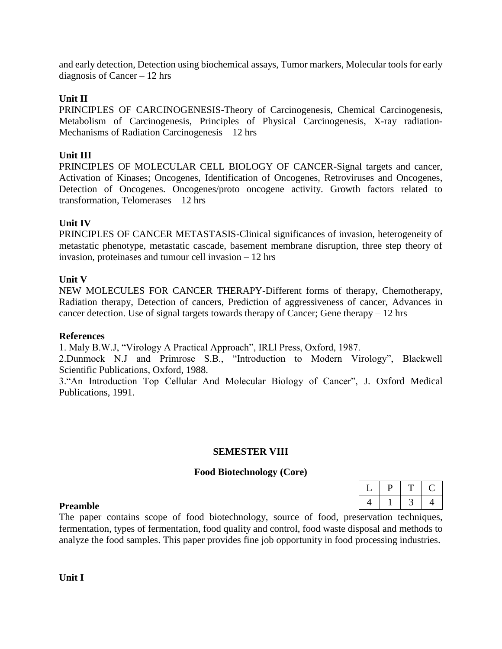and early detection, Detection using biochemical assays, Tumor markers, Molecular tools for early diagnosis of Cancer – 12 hrs

#### **Unit II**

PRINCIPLES OF CARCINOGENESIS-Theory of Carcinogenesis, Chemical Carcinogenesis, Metabolism of Carcinogenesis, Principles of Physical Carcinogenesis, X-ray radiation-Mechanisms of Radiation Carcinogenesis – 12 hrs

#### **Unit III**

PRINCIPLES OF MOLECULAR CELL BIOLOGY OF CANCER-Signal targets and cancer, Activation of Kinases; Oncogenes, Identification of Oncogenes, Retroviruses and Oncogenes, Detection of Oncogenes. Oncogenes/proto oncogene activity. Growth factors related to transformation, Telomerases – 12 hrs

#### **Unit IV**

PRINCIPLES OF CANCER METASTASIS-Clinical significances of invasion, heterogeneity of metastatic phenotype, metastatic cascade, basement membrane disruption, three step theory of invasion, proteinases and tumour cell invasion – 12 hrs

#### **Unit V**

NEW MOLECULES FOR CANCER THERAPY-Different forms of therapy, Chemotherapy, Radiation therapy, Detection of cancers, Prediction of aggressiveness of cancer, Advances in cancer detection. Use of signal targets towards therapy of Cancer; Gene therapy  $-12$  hrs

#### **References**

1. Maly B.W.J, "Virology A Practical Approach", IRLl Press, Oxford, 1987.

2.Dunmock N.J and Primrose S.B., "Introduction to Modern Virology", Blackwell Scientific Publications, Oxford, 1988.

3."An Introduction Top Cellular And Molecular Biology of Cancer", J. Oxford Medical Publications, 1991.

#### **SEMESTER VIII**

#### **Food Biotechnology (Core)**

| υ |  |
|---|--|
|   |  |

#### **Preamble**

The paper contains scope of food biotechnology, source of food, preservation techniques, fermentation, types of fermentation, food quality and control, food waste disposal and methods to analyze the food samples. This paper provides fine job opportunity in food processing industries.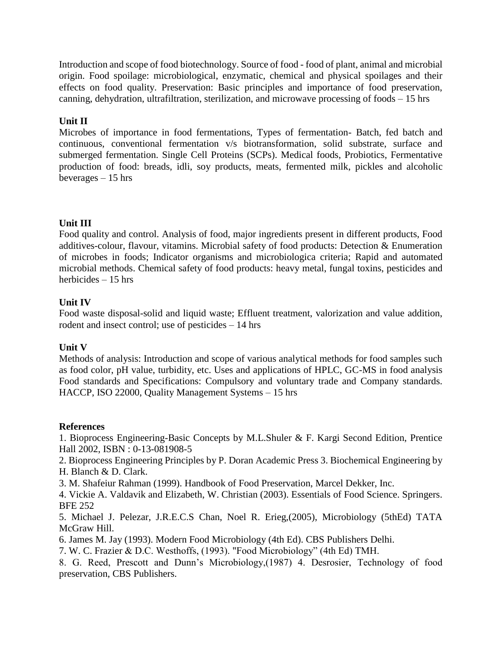Introduction and scope of food biotechnology. Source of food - food of plant, animal and microbial origin. Food spoilage: microbiological, enzymatic, chemical and physical spoilages and their effects on food quality. Preservation: Basic principles and importance of food preservation, canning, dehydration, ultrafiltration, sterilization, and microwave processing of foods – 15 hrs

### **Unit II**

Microbes of importance in food fermentations, Types of fermentation- Batch, fed batch and continuous, conventional fermentation v/s biotransformation, solid substrate, surface and submerged fermentation. Single Cell Proteins (SCPs). Medical foods, Probiotics, Fermentative production of food: breads, idli, soy products, meats, fermented milk, pickles and alcoholic beverages – 15 hrs

### **Unit III**

Food quality and control. Analysis of food, major ingredients present in different products, Food additives-colour, flavour, vitamins. Microbial safety of food products: Detection & Enumeration of microbes in foods; Indicator organisms and microbiologica criteria; Rapid and automated microbial methods. Chemical safety of food products: heavy metal, fungal toxins, pesticides and herbicides – 15 hrs

### **Unit IV**

Food waste disposal-solid and liquid waste; Effluent treatment, valorization and value addition, rodent and insect control; use of pesticides – 14 hrs

### **Unit V**

Methods of analysis: Introduction and scope of various analytical methods for food samples such as food color, pH value, turbidity, etc. Uses and applications of HPLC, GC-MS in food analysis Food standards and Specifications: Compulsory and voluntary trade and Company standards. HACCP, ISO 22000, Quality Management Systems – 15 hrs

### **References**

1. Bioprocess Engineering-Basic Concepts by M.L.Shuler & F. Kargi Second Edition, Prentice Hall 2002, ISBN : 0-13-081908-5

2. Bioprocess Engineering Principles by P. Doran Academic Press 3. Biochemical Engineering by H. Blanch & D. Clark.

3. M. Shafeiur Rahman (1999). Handbook of Food Preservation, Marcel Dekker, Inc.

4. Vickie A. Valdavik and Elizabeth, W. Christian (2003). Essentials of Food Science. Springers. BFE 252

5. Michael J. Pelezar, J.R.E.C.S Chan, Noel R. Erieg,(2005), Microbiology (5thEd) TATA McGraw Hill.

6. James M. Jay (1993). Modern Food Microbiology (4th Ed). CBS Publishers Delhi.

7. W. C. Frazier & D.C. Westhoffs, (1993). "Food Microbiology" (4th Ed) TMH.

8. G. Reed, Prescott and Dunn's Microbiology,(1987) 4. Desrosier, Technology of food preservation, CBS Publishers.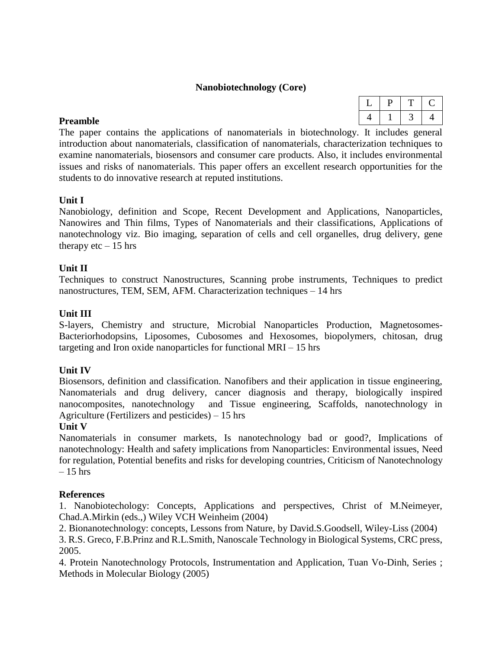#### **Nanobiotechnology (Core)**

#### **Preamble**

The paper contains the applications of nanomaterials in biotechnology. It includes general introduction about nanomaterials, classification of nanomaterials, characterization techniques to examine nanomaterials, biosensors and consumer care products. Also, it includes environmental issues and risks of nanomaterials. This paper offers an excellent research opportunities for the students to do innovative research at reputed institutions.

#### **Unit I**

Nanobiology, definition and Scope, Recent Development and Applications, Nanoparticles, Nanowires and Thin films, Types of Nanomaterials and their classifications, Applications of nanotechnology viz. Bio imaging, separation of cells and cell organelles, drug delivery, gene therapy etc  $-15$  hrs

#### **Unit II**

Techniques to construct Nanostructures, Scanning probe instruments, Techniques to predict nanostructures, TEM, SEM, AFM. Characterization techniques – 14 hrs

#### **Unit III**

S-layers, Chemistry and structure, Microbial Nanoparticles Production, Magnetosomes-Bacteriorhodopsins, Liposomes, Cubosomes and Hexosomes, biopolymers, chitosan, drug targeting and Iron oxide nanoparticles for functional MRI – 15 hrs

#### **Unit IV**

Biosensors, definition and classification. Nanofibers and their application in tissue engineering, Nanomaterials and drug delivery, cancer diagnosis and therapy, biologically inspired nanocomposites, nanotechnology and Tissue engineering, Scaffolds, nanotechnology in Agriculture (Fertilizers and pesticides) – 15 hrs

#### **Unit V**

Nanomaterials in consumer markets, Is nanotechnology bad or good?, Implications of nanotechnology: Health and safety implications from Nanoparticles: Environmental issues, Need for regulation, Potential benefits and risks for developing countries, Criticism of Nanotechnology  $-15$  hrs

#### **References**

1. Nanobiotechology: Concepts, Applications and perspectives, Christ of M.Neimeyer, Chad.A.Mirkin (eds.,) Wiley VCH Weinheim (2004)

2. Bionanotechnology: concepts, Lessons from Nature, by David.S.Goodsell, Wiley-Liss (2004)

3. R.S. Greco, F.B.Prinz and R.L.Smith, Nanoscale Technology in Biological Systems, CRC press, 2005.

4. Protein Nanotechnology Protocols, Instrumentation and Application, Tuan Vo-Dinh, Series ; Methods in Molecular Biology (2005)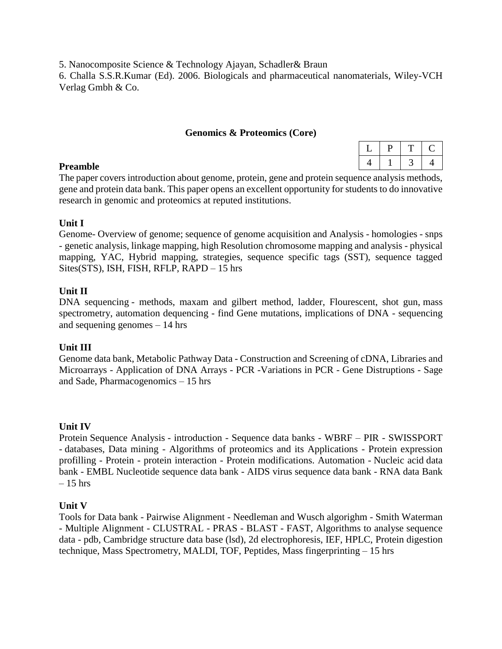5. Nanocomposite Science & Technology Ajayan, Schadler& Braun

6. Challa S.S.R.Kumar (Ed). 2006. Biologicals and pharmaceutical nanomaterials, Wiley-VCH Verlag Gmbh & Co.

#### **Genomics & Proteomics (Core)**

#### **Preamble**

The paper covers introduction about genome, protein, gene and protein sequence analysis methods, gene and protein data bank. This paper opens an excellent opportunity for students to do innovative research in genomic and proteomics at reputed institutions.

#### **Unit I**

Genome- Overview of genome; sequence of genome acquisition and Analysis - homologies - snps - genetic analysis, linkage mapping, high Resolution chromosome mapping and analysis - physical mapping, YAC, Hybrid mapping, strategies, sequence specific tags (SST), sequence tagged Sites(STS), ISH, FISH, RFLP, RAPD – 15 hrs

#### **Unit II**

DNA sequencing - methods, maxam and gilbert method, ladder, Flourescent, shot gun, mass spectrometry, automation dequencing - find Gene mutations, implications of DNA - sequencing and sequening genomes – 14 hrs

### **Unit III**

Genome data bank, Metabolic Pathway Data - Construction and Screening of cDNA, Libraries and Microarrays - Application of DNA Arrays - PCR -Variations in PCR - Gene Distruptions - Sage and Sade, Pharmacogenomics – 15 hrs

#### **Unit IV**

Protein Sequence Analysis - introduction - Sequence data banks - WBRF – PIR - SWISSPORT - databases, Data mining - Algorithms of proteomics and its Applications - Protein expression profilling - Protein - protein interaction - Protein modifications. Automation - Nucleic acid data bank - EMBL Nucleotide sequence data bank - AIDS virus sequence data bank - RNA data Bank  $= 15$  hrs

#### **Unit V**

Tools for Data bank - Pairwise Alignment - Needleman and Wusch algorighm - Smith Waterman - Multiple Alignment - CLUSTRAL - PRAS - BLAST - FAST, Algorithms to analyse sequence data - pdb, Cambridge structure data base (lsd), 2d electrophoresis, IEF, HPLC, Protein digestion technique, Mass Spectrometry, MALDI, TOF, Peptides, Mass fingerprinting – 15 hrs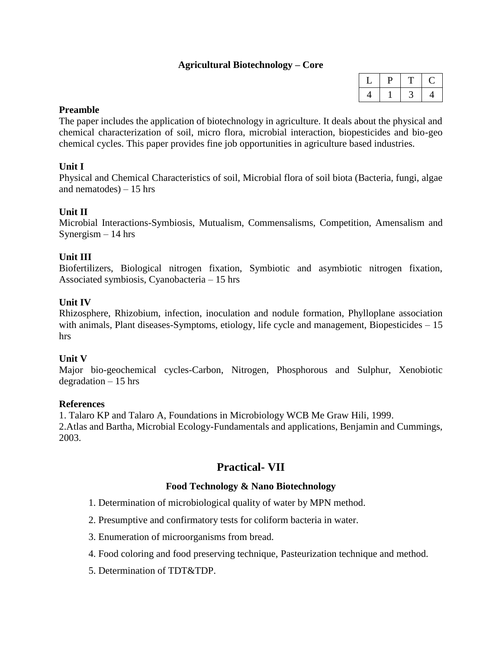### **Agricultural Biotechnology – Core**

#### **Preamble**

The paper includes the application of biotechnology in agriculture. It deals about the physical and chemical characterization of soil, micro flora, microbial interaction, biopesticides and bio-geo chemical cycles. This paper provides fine job opportunities in agriculture based industries.

#### **Unit I**

Physical and Chemical Characteristics of soil, Microbial flora of soil biota (Bacteria, fungi, algae and nematodes)  $-15$  hrs

#### **Unit II**

Microbial Interactions-Symbiosis, Mutualism, Commensalisms, Competition, Amensalism and Synergism  $-14$  hrs

#### **Unit III**

Biofertilizers, Biological nitrogen fixation, Symbiotic and asymbiotic nitrogen fixation, Associated symbiosis, Cyanobacteria – 15 hrs

#### **Unit IV**

Rhizosphere, Rhizobium, infection, inoculation and nodule formation, Phylloplane association with animals, Plant diseases-Symptoms, etiology, life cycle and management, Biopesticides – 15 hrs

#### **Unit V**

Major bio-geochemical cycles-Carbon, Nitrogen, Phosphorous and Sulphur, Xenobiotic degradation  $-15$  hrs

#### **References**

1. Talaro KP and Talaro A, Foundations in Microbiology WCB Me Graw Hili, 1999.

2.Atlas and Bartha, Microbial Ecology-Fundamentals and applications, Benjamin and Cummings, 2003.

# **Practical- VII**

#### **Food Technology & Nano Biotechnology**

- 1. Determination of microbiological quality of water by MPN method.
- 2. Presumptive and confirmatory tests for coliform bacteria in water.
- 3. Enumeration of microorganisms from bread.
- 4. Food coloring and food preserving technique, Pasteurization technique and method.
- 5. Determination of TDT&TDP.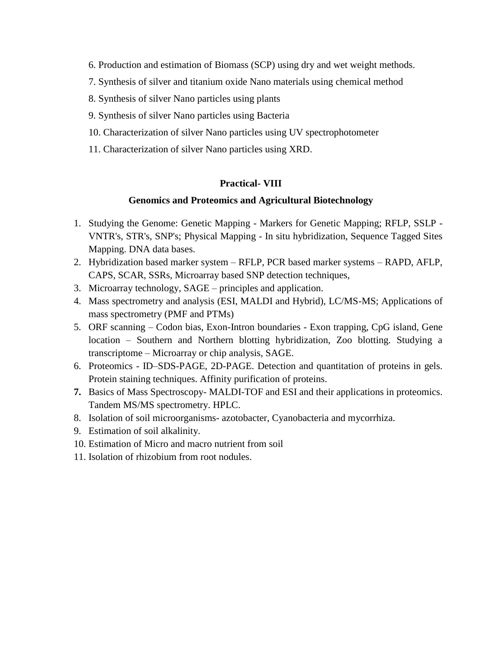- 6. Production and estimation of Biomass (SCP) using dry and wet weight methods.
- 7. Synthesis of silver and titanium oxide Nano materials using chemical method
- 8. Synthesis of silver Nano particles using plants
- 9. Synthesis of silver Nano particles using Bacteria
- 10. Characterization of silver Nano particles using UV spectrophotometer
- 11. Characterization of silver Nano particles using XRD.

#### **Practical- VIII**

#### **Genomics and Proteomics and Agricultural Biotechnology**

- 1. Studying the Genome: Genetic Mapping Markers for Genetic Mapping; RFLP, SSLP VNTR's, STR's, SNP's; Physical Mapping - In situ hybridization, Sequence Tagged Sites Mapping. DNA data bases.
- 2. Hybridization based marker system RFLP, PCR based marker systems RAPD, AFLP, CAPS, SCAR, SSRs, Microarray based SNP detection techniques,
- 3. Microarray technology, SAGE principles and application.
- 4. Mass spectrometry and analysis (ESI, MALDI and Hybrid), LC/MS-MS; Applications of mass spectrometry (PMF and PTMs)
- 5. ORF scanning Codon bias, Exon-Intron boundaries Exon trapping, CpG island, Gene location – Southern and Northern blotting hybridization, Zoo blotting. Studying a transcriptome – Microarray or chip analysis, SAGE.
- 6. Proteomics ID–SDS-PAGE, 2D-PAGE. Detection and quantitation of proteins in gels. Protein staining techniques. Affinity purification of proteins.
- **7.** Basics of Mass Spectroscopy- MALDI-TOF and ESI and their applications in proteomics. Tandem MS/MS spectrometry. HPLC.
- 8. Isolation of soil microorganisms- azotobacter, Cyanobacteria and mycorrhiza.
- 9. Estimation of soil alkalinity.
- 10. Estimation of Micro and macro nutrient from soil
- 11. Isolation of rhizobium from root nodules.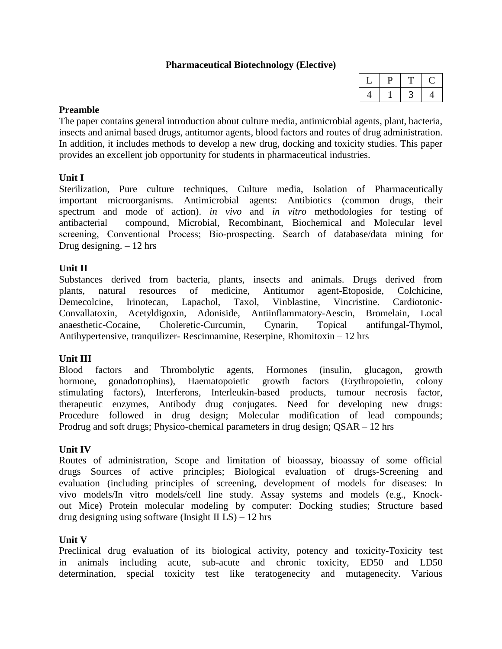#### **Pharmaceutical Biotechnology (Elective)**

#### **Preamble**

The paper contains general introduction about culture media, antimicrobial agents, plant, bacteria, insects and animal based drugs, antitumor agents, blood factors and routes of drug administration. In addition, it includes methods to develop a new drug, docking and toxicity studies. This paper provides an excellent job opportunity for students in pharmaceutical industries.

#### **Unit I**

Sterilization, Pure culture techniques, Culture media, Isolation of Pharmaceutically important microorganisms. Antimicrobial agents: Antibiotics (common drugs, their spectrum and mode of action). *in vivo* and *in vitro* methodologies for testing of antibacterial compound, Microbial, Recombinant, Biochemical and Molecular level screening, Conventional Process; Bio-prospecting. Search of database/data mining for Drug designing.  $-12$  hrs

#### **Unit II**

Substances derived from bacteria, plants, insects and animals. Drugs derived from plants, natural resources of medicine, Antitumor agent-Etoposide, Colchicine, Demecolcine, Irinotecan, Lapachol, Taxol, Vinblastine, Vincristine. Cardiotonic-Convallatoxin, Acetyldigoxin, Adoniside, Antiinflammatory-Aescin, Bromelain, Local anaesthetic-Cocaine, Choleretic-Curcumin, Cynarin, Topical antifungal-Thymol, Antihypertensive, tranquilizer- Rescinnamine, Reserpine, Rhomitoxin – 12 hrs

#### **Unit III**

Blood factors and Thrombolytic agents, Hormones (insulin, glucagon, growth hormone, gonadotrophins), Haematopoietic growth factors (Erythropoietin, colony stimulating factors), Interferons, Interleukin-based products, tumour necrosis factor, therapeutic enzymes, Antibody drug conjugates. Need for developing new drugs: Procedure followed in drug design; Molecular modification of lead compounds; Prodrug and soft drugs; Physico-chemical parameters in drug design; QSAR – 12 hrs

#### **Unit IV**

Routes of administration, Scope and limitation of bioassay, bioassay of some official drugs Sources of active principles; Biological evaluation of drugs-Screening and evaluation (including principles of screening, development of models for diseases: In vivo models/In vitro models/cell line study. Assay systems and models (e.g., Knockout Mice) Protein molecular modeling by computer: Docking studies; Structure based drug designing using software (Insight II  $LS$ ) – 12 hrs

#### **Unit V**

Preclinical drug evaluation of its biological activity, potency and toxicity-Toxicity test in animals including acute, sub-acute and chronic toxicity, ED50 and LD50 determination, special toxicity test like teratogenecity and mutagenecity. Various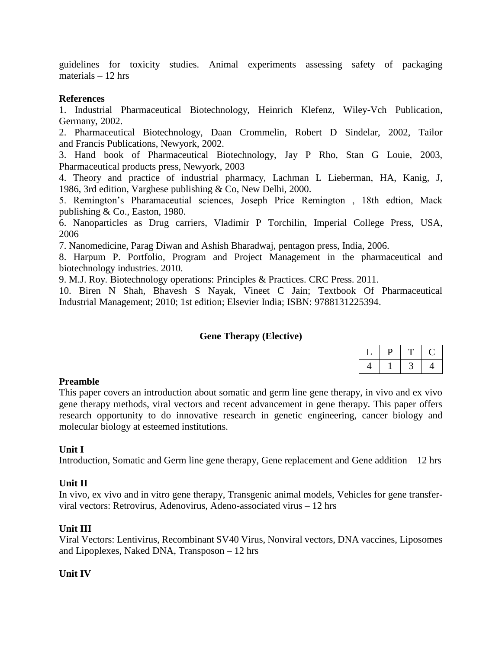guidelines for toxicity studies. Animal experiments assessing safety of packaging materials  $-12$  hrs

#### **References**

1. Industrial Pharmaceutical Biotechnology, Heinrich Klefenz, Wiley-Vch Publication, Germany, 2002.

2. Pharmaceutical Biotechnology, Daan Crommelin, Robert D Sindelar, 2002, Tailor and Francis Publications, Newyork, 2002.

3. Hand book of Pharmaceutical Biotechnology, Jay P Rho, Stan G Louie, 2003, Pharmaceutical products press, Newyork, 2003

4. Theory and practice of industrial pharmacy, Lachman L Lieberman, HA, Kanig, J, 1986, 3rd edition, Varghese publishing & Co, New Delhi, 2000.

5. Remington's Pharamaceutial sciences, Joseph Price Remington , 18th edtion, Mack publishing & Co., Easton, 1980.

6. Nanoparticles as Drug carriers, Vladimir P Torchilin, Imperial College Press, USA, 2006

7. Nanomedicine, Parag Diwan and Ashish Bharadwaj, pentagon press, India, 2006.

8. Harpum P. Portfolio, Program and Project Management in the pharmaceutical and biotechnology industries. 2010.

9. M.J. Roy. Biotechnology operations: Principles & Practices. CRC Press. 2011.

10. Biren N Shah, Bhavesh S Nayak, Vineet C Jain; Textbook Of Pharmaceutical Industrial Management; 2010; 1st edition; Elsevier India; ISBN: 9788131225394.

#### **Gene Therapy (Elective)**

#### **Preamble**

This paper covers an introduction about somatic and germ line gene therapy, in vivo and ex vivo gene therapy methods, viral vectors and recent advancement in gene therapy. This paper offers research opportunity to do innovative research in genetic engineering, cancer biology and molecular biology at esteemed institutions.

#### **Unit I**

Introduction, Somatic and Germ line gene therapy, Gene replacement and Gene addition – 12 hrs

#### **Unit II**

In vivo, ex vivo and in vitro gene therapy, Transgenic animal models, Vehicles for gene transferviral vectors: Retrovirus, Adenovirus, Adeno-associated virus – 12 hrs

#### **Unit III**

Viral Vectors: Lentivirus, Recombinant SV40 Virus, Nonviral vectors, DNA vaccines, Liposomes and Lipoplexes, Naked DNA, Transposon – 12 hrs

#### **Unit IV**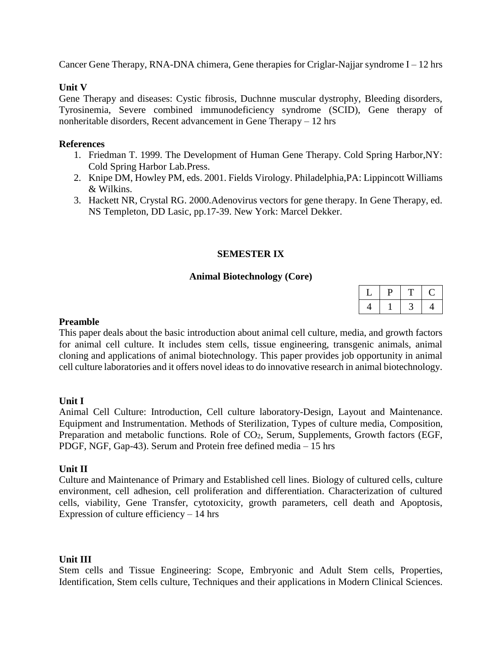Cancer Gene Therapy, RNA-DNA chimera, Gene therapies for Criglar-Najjar syndrome  $I - 12$  hrs

#### **Unit V**

Gene Therapy and diseases: Cystic fibrosis, Duchnne muscular dystrophy, Bleeding disorders, Tyrosinemia, Severe combined immunodeficiency syndrome (SCID), Gene therapy of nonheritable disorders, Recent advancement in Gene Therapy – 12 hrs

#### **References**

- 1. Friedman T. 1999. The Development of Human Gene Therapy. Cold Spring Harbor,NY: Cold Spring Harbor Lab.Press.
- 2. Knipe DM, Howley PM, eds. 2001. Fields Virology. Philadelphia,PA: Lippincott Williams & Wilkins.
- 3. Hackett NR, Crystal RG. 2000.Adenovirus vectors for gene therapy. In Gene Therapy, ed. NS Templeton, DD Lasic, pp.17-39. New York: Marcel Dekker.

#### **SEMESTER IX**

#### **Animal Biotechnology (Core)**

|   | u |  |
|---|---|--|
| ٠ |   |  |

#### **Preamble**

This paper deals about the basic introduction about animal cell culture, media, and growth factors for animal cell culture. It includes stem cells, tissue engineering, transgenic animals, animal cloning and applications of animal biotechnology. This paper provides job opportunity in animal cell culture laboratories and it offers novel ideas to do innovative research in animal biotechnology.

#### **Unit I**

Animal Cell Culture: Introduction, Cell culture laboratory-Design, Layout and Maintenance. Equipment and Instrumentation. Methods of Sterilization, Types of culture media, Composition, Preparation and metabolic functions. Role of CO<sub>2</sub>, Serum, Supplements, Growth factors (EGF, PDGF, NGF, Gap-43). Serum and Protein free defined media – 15 hrs

#### **Unit II**

Culture and Maintenance of Primary and Established cell lines. Biology of cultured cells, culture environment, cell adhesion, cell proliferation and differentiation. Characterization of cultured cells, viability, Gene Transfer, cytotoxicity, growth parameters, cell death and Apoptosis, Expression of culture efficiency  $-14$  hrs

#### **Unit III**

Stem cells and Tissue Engineering: Scope, Embryonic and Adult Stem cells, Properties, Identification, Stem cells culture, Techniques and their applications in Modern Clinical Sciences.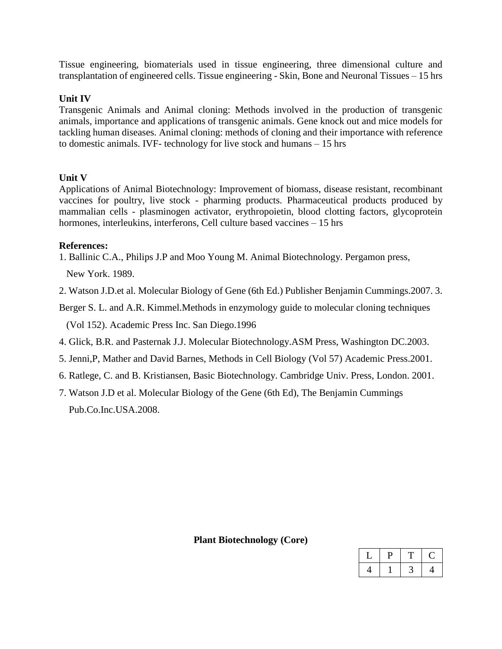Tissue engineering, biomaterials used in tissue engineering, three dimensional culture and transplantation of engineered cells. Tissue engineering - Skin, Bone and Neuronal Tissues – 15 hrs

#### **Unit IV**

Transgenic Animals and Animal cloning: Methods involved in the production of transgenic animals, importance and applications of transgenic animals. Gene knock out and mice models for tackling human diseases. Animal cloning: methods of cloning and their importance with reference to domestic animals. IVF- technology for live stock and humans – 15 hrs

#### **Unit V**

Applications of Animal Biotechnology: Improvement of biomass, disease resistant, recombinant vaccines for poultry, live stock - pharming products. Pharmaceutical products produced by mammalian cells - plasminogen activator, erythropoietin, blood clotting factors, glycoprotein hormones, interleukins, interferons, Cell culture based vaccines – 15 hrs

#### **References:**

1. Ballinic C.A., Philips J.P and Moo Young M. Animal Biotechnology. Pergamon press,

New York. 1989.

2. Watson J.D.et al. Molecular Biology of Gene (6th Ed.) Publisher Benjamin Cummings.2007. 3.

Berger S. L. and A.R. Kimmel.Methods in enzymology guide to molecular cloning techniques

(Vol 152). Academic Press Inc. San Diego.1996

- 4. Glick, B.R. and Pasternak J.J. Molecular Biotechnology.ASM Press, Washington DC.2003.
- 5. Jenni,P, Mather and David Barnes, Methods in Cell Biology (Vol 57) Academic Press.2001.
- 6. Ratlege, C. and B. Kristiansen, Basic Biotechnology. Cambridge Univ. Press, London. 2001.
- 7. Watson J.D et al. Molecular Biology of the Gene (6th Ed), The Benjamin Cummings Pub.Co.Inc.USA.2008.

**Plant Biotechnology (Core)**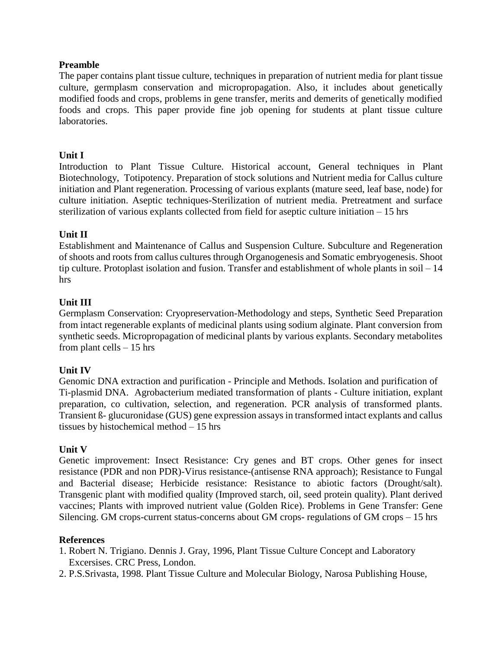#### **Preamble**

The paper contains plant tissue culture, techniques in preparation of nutrient media for plant tissue culture, germplasm conservation and micropropagation. Also, it includes about genetically modified foods and crops, problems in gene transfer, merits and demerits of genetically modified foods and crops. This paper provide fine job opening for students at plant tissue culture laboratories.

#### **Unit I**

Introduction to Plant Tissue Culture. Historical account, General techniques in Plant Biotechnology, Totipotency. Preparation of stock solutions and Nutrient media for Callus culture initiation and Plant regeneration. Processing of various explants (mature seed, leaf base, node) for culture initiation. Aseptic techniques-Sterilization of nutrient media. Pretreatment and surface sterilization of various explants collected from field for aseptic culture initiation – 15 hrs

#### **Unit II**

Establishment and Maintenance of Callus and Suspension Culture. Subculture and Regeneration of shoots and roots from callus cultures through Organogenesis and Somatic embryogenesis. Shoot tip culture. Protoplast isolation and fusion. Transfer and establishment of whole plants in soil – 14 hrs

#### **Unit III**

Germplasm Conservation: Cryopreservation-Methodology and steps, Synthetic Seed Preparation from intact regenerable explants of medicinal plants using sodium alginate. Plant conversion from synthetic seeds. Micropropagation of medicinal plants by various explants. Secondary metabolites from plant cells  $-15$  hrs

#### **Unit IV**

Genomic DNA extraction and purification - Principle and Methods. Isolation and purification of Ti-plasmid DNA. Agrobacterium mediated transformation of plants - Culture initiation, explant preparation, co cultivation, selection, and regeneration. PCR analysis of transformed plants. Transient ß- glucuronidase (GUS) gene expression assays in transformed intact explants and callus tissues by histochemical method – 15 hrs

#### **Unit V**

Genetic improvement: Insect Resistance: Cry genes and BT crops. Other genes for insect resistance (PDR and non PDR)-Virus resistance-(antisense RNA approach); Resistance to Fungal and Bacterial disease; Herbicide resistance: Resistance to abiotic factors (Drought/salt). Transgenic plant with modified quality (Improved starch, oil, seed protein quality). Plant derived vaccines; Plants with improved nutrient value (Golden Rice). Problems in Gene Transfer: Gene Silencing. GM crops-current status-concerns about GM crops- regulations of GM crops – 15 hrs

- 1. Robert N. Trigiano. Dennis J. Gray, 1996, Plant Tissue Culture Concept and Laboratory Excersises. CRC Press, London.
- 2. P.S.Srivasta, 1998. Plant Tissue Culture and Molecular Biology, Narosa Publishing House,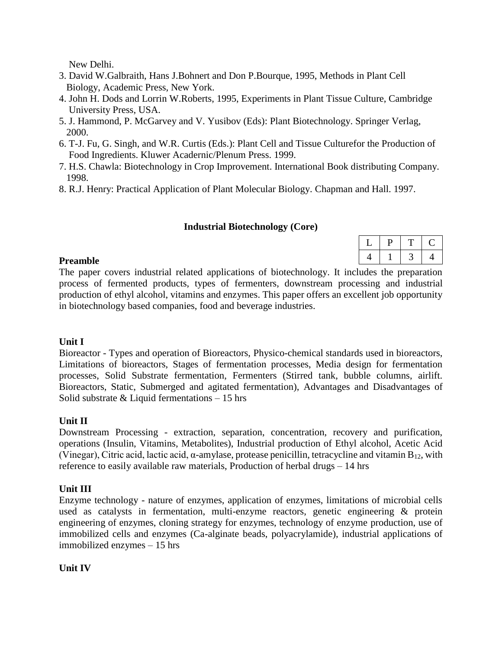New Delhi.

- 3. David W.Galbraith, Hans J.Bohnert and Don P.Bourque, 1995, Methods in Plant Cell Biology, Academic Press, New York.
- 4. John H. Dods and Lorrin W.Roberts, 1995, Experiments in Plant Tissue Culture, Cambridge University Press, USA.
- 5. J. Hammond, P. McGarvey and V. Yusibov (Eds): Plant Biotechnology. Springer Verlag, 2000.
- 6. T-J. Fu, G. Singh, and W.R. Curtis (Eds.): Plant Cell and Tissue Culturefor the Production of Food Ingredients. Kluwer Acadernic/Plenum Press. 1999.
- 7. H.S. Chawla: Biotechnology in Crop Improvement. International Book distributing Company. 1998.
- 8. R.J. Henry: Practical Application of Plant Molecular Biology. Chapman and Hall. 1997.

#### **Industrial Biotechnology (Core)**

#### **Preamble**

The paper covers industrial related applications of biotechnology. It includes the preparation process of fermented products, types of fermenters, downstream processing and industrial production of ethyl alcohol, vitamins and enzymes. This paper offers an excellent job opportunity in biotechnology based companies, food and beverage industries.

### **Unit I**

Bioreactor - Types and operation of Bioreactors, Physico-chemical standards used in bioreactors, Limitations of bioreactors, Stages of fermentation processes, Media design for fermentation processes, Solid Substrate fermentation, Fermenters (Stirred tank, bubble columns, airlift. Bioreactors, Static, Submerged and agitated fermentation), Advantages and Disadvantages of Solid substrate  $&$  Liquid fermentations  $-15$  hrs

### **Unit II**

Downstream Processing - extraction, separation, concentration, recovery and purification, operations (Insulin, Vitamins, Metabolites), Industrial production of Ethyl alcohol, Acetic Acid (Vinegar), Citric acid, lactic acid,  $\alpha$ -amylase, protease penicillin, tetracycline and vitamin  $B_{12}$ , with reference to easily available raw materials, Production of herbal drugs – 14 hrs

### **Unit III**

Enzyme technology - nature of enzymes, application of enzymes, limitations of microbial cells used as catalysts in fermentation, multi-enzyme reactors, genetic engineering & protein engineering of enzymes, cloning strategy for enzymes, technology of enzyme production, use of immobilized cells and enzymes (Ca-alginate beads, polyacrylamide), industrial applications of immobilized enzymes – 15 hrs

#### **Unit IV**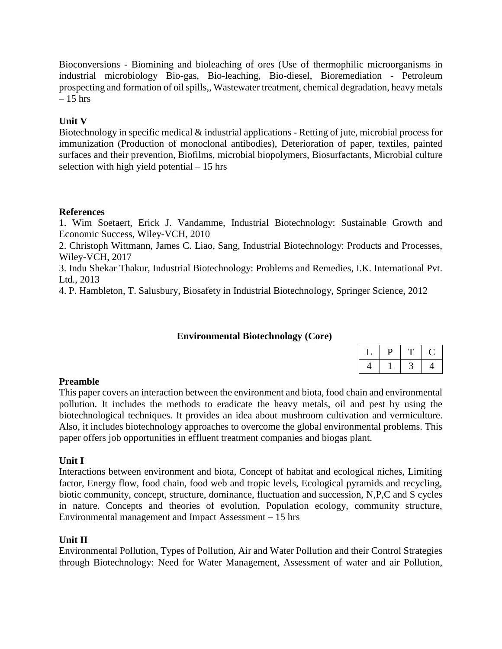Bioconversions - Biomining and bioleaching of ores (Use of thermophilic microorganisms in industrial microbiology Bio-gas, Bio-leaching, Bio-diesel, Bioremediation - Petroleum prospecting and formation of oil spills,, Wastewater treatment, chemical degradation, heavy metals  $-15$  hrs

### **Unit V**

Biotechnology in specific medical  $\&$  industrial applications - Retting of jute, microbial process for immunization (Production of monoclonal antibodies), Deterioration of paper, textiles, painted surfaces and their prevention, Biofilms, microbial biopolymers, Biosurfactants, Microbial culture selection with high yield potential  $-15$  hrs

#### **References**

1. Wim Soetaert, Erick J. Vandamme, Industrial Biotechnology: Sustainable Growth and Economic Success, Wiley-VCH, 2010

2. Christoph Wittmann, James C. Liao, Sang, Industrial Biotechnology: Products and Processes, Wiley-VCH, 2017

3. Indu Shekar Thakur, Industrial Biotechnology: Problems and Remedies, I.K. International Pvt. Ltd., 2013

4. P. Hambleton, T. Salusbury, Biosafety in Industrial Biotechnology, Springer Science, 2012

### **Environmental Biotechnology (Core)**

### **Preamble**

This paper covers an interaction between the environment and biota, food chain and environmental pollution. It includes the methods to eradicate the heavy metals, oil and pest by using the biotechnological techniques. It provides an idea about mushroom cultivation and vermiculture. Also, it includes biotechnology approaches to overcome the global environmental problems. This paper offers job opportunities in effluent treatment companies and biogas plant.

#### **Unit I**

Interactions between environment and biota, Concept of habitat and ecological niches, Limiting factor, Energy flow, food chain, food web and tropic levels, Ecological pyramids and recycling, biotic community, concept, structure, dominance, fluctuation and succession, N,P,C and S cycles in nature. Concepts and theories of evolution, Population ecology, community structure, Environmental management and Impact Assessment – 15 hrs

#### **Unit II**

Environmental Pollution, Types of Pollution, Air and Water Pollution and their Control Strategies through Biotechnology: Need for Water Management, Assessment of water and air Pollution,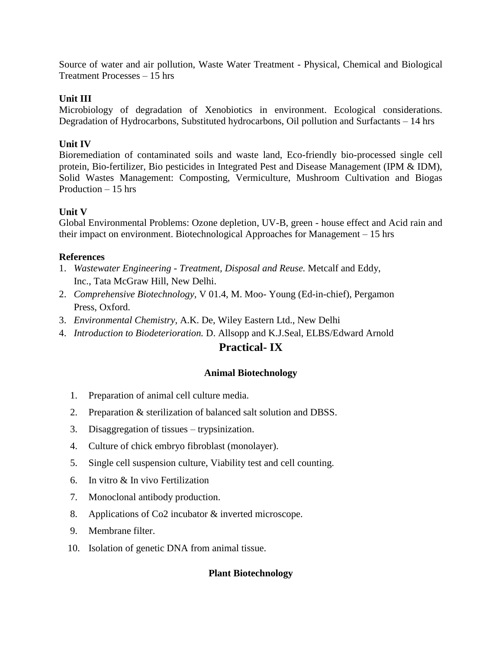Source of water and air pollution, Waste Water Treatment - Physical, Chemical and Biological Treatment Processes – 15 hrs

#### **Unit III**

Microbiology of degradation of Xenobiotics in environment. Ecological considerations. Degradation of Hydrocarbons, Substituted hydrocarbons, Oil pollution and Surfactants – 14 hrs

#### **Unit IV**

Bioremediation of contaminated soils and waste land, Eco-friendly bio-processed single cell protein, Bio-fertilizer, Bio pesticides in Integrated Pest and Disease Management (IPM & IDM), Solid Wastes Management: Composting, Vermiculture, Mushroom Cultivation and Biogas Production – 15 hrs

#### **Unit V**

Global Environmental Problems: Ozone depletion, UV-B, green - house effect and Acid rain and their impact on environment. Biotechnological Approaches for Management – 15 hrs

#### **References**

- 1. *Wastewater Engineering Treatment, Disposal and Reuse.* Metcalf and Eddy, Inc., Tata McGraw Hill, New Delhi.
- 2. *Comprehensive Biotechnology,* V 01.4, M. Moo- Young (Ed-in-chief), Pergamon Press, Oxford.
- 3. *Environmental Chemistry,* A.K. De, Wiley Eastern Ltd., New Delhi
- 4. *Introduction to Biodeterioration.* D. Allsopp and K.J.Seal, ELBS/Edward Arnold

### **Practical- IX**

#### **Animal Biotechnology**

- 1. Preparation of animal cell culture media.
- 2. Preparation & sterilization of balanced salt solution and DBSS.
- 3. Disaggregation of tissues trypsinization.
- 4. Culture of chick embryo fibroblast (monolayer).
- 5. Single cell suspension culture, Viability test and cell counting.
- 6. In vitro & In vivo Fertilization
- 7. Monoclonal antibody production.
- 8. Applications of Co2 incubator & inverted microscope.
- 9. Membrane filter.
- 10. Isolation of genetic DNA from animal tissue.

#### **Plant Biotechnology**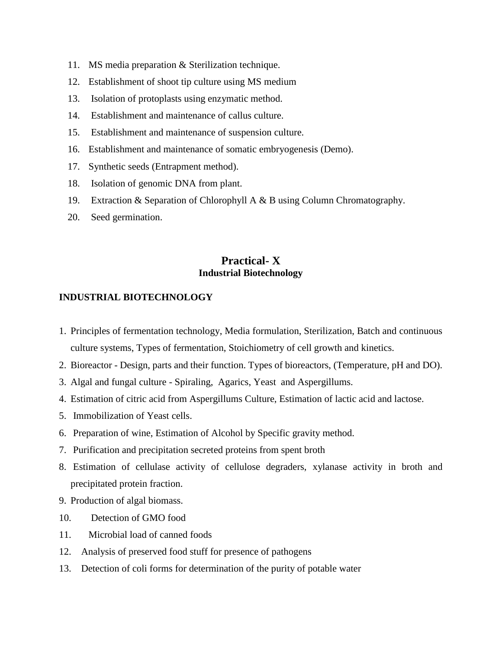- 11. MS media preparation & Sterilization technique.
- 12. Establishment of shoot tip culture using MS medium
- 13. Isolation of protoplasts using enzymatic method.
- 14. Establishment and maintenance of callus culture.
- 15. Establishment and maintenance of suspension culture.
- 16. Establishment and maintenance of somatic embryogenesis (Demo).
- 17. Synthetic seeds (Entrapment method).
- 18. Isolation of genomic DNA from plant.
- 19. Extraction & Separation of Chlorophyll A & B using Column Chromatography.
- 20. Seed germination.

## **Practical- X Industrial Biotechnology**

#### **INDUSTRIAL BIOTECHNOLOGY**

- 1. Principles of fermentation technology, Media formulation, Sterilization, Batch and continuous culture systems, Types of fermentation, Stoichiometry of cell growth and kinetics.
- 2. Bioreactor Design, parts and their function. Types of bioreactors, (Temperature, pH and DO).
- 3. Algal and fungal culture Spiraling, Agarics, Yeast and Aspergillums.
- 4. Estimation of citric acid from Aspergillums Culture, Estimation of lactic acid and lactose.
- 5. Immobilization of Yeast cells.
- 6. Preparation of wine, Estimation of Alcohol by Specific gravity method.
- 7. Purification and precipitation secreted proteins from spent broth
- 8. Estimation of cellulase activity of cellulose degraders, xylanase activity in broth and precipitated protein fraction.
- 9. Production of algal biomass.
- 10. Detection of GMO food
- 11. Microbial load of canned foods
- 12. Analysis of preserved food stuff for presence of pathogens
- 13. Detection of coli forms for determination of the purity of potable water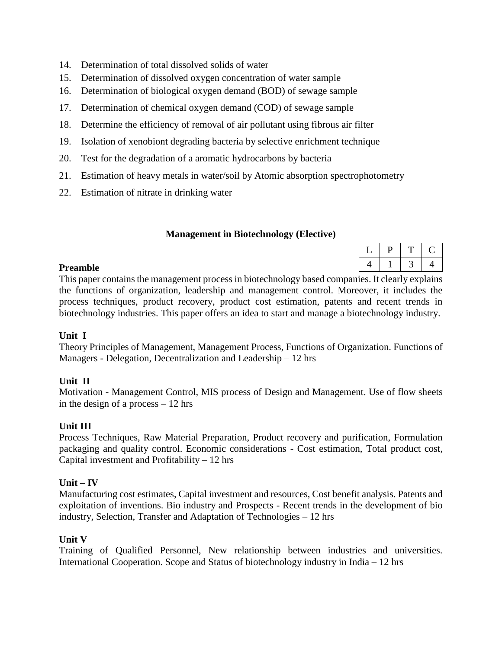- 14. Determination of total dissolved solids of water
- 15. Determination of dissolved oxygen concentration of water sample
- 16. Determination of biological oxygen demand (BOD) of sewage sample
- 17. Determination of chemical oxygen demand (COD) of sewage sample
- 18. Determine the efficiency of removal of air pollutant using fibrous air filter
- 19. Isolation of xenobiont degrading bacteria by selective enrichment technique
- 20. Test for the degradation of a aromatic hydrocarbons by bacteria
- 21. Estimation of heavy metals in water/soil by Atomic absorption spectrophotometry
- 22. Estimation of nitrate in drinking water

#### **Management in Biotechnology (Elective)**

#### **Preamble**

This paper contains the management process in biotechnology based companies. It clearly explains the functions of organization, leadership and management control. Moreover, it includes the process techniques, product recovery, product cost estimation, patents and recent trends in biotechnology industries. This paper offers an idea to start and manage a biotechnology industry.

#### **Unit I**

Theory Principles of Management, Management Process, Functions of Organization. Functions of Managers - Delegation, Decentralization and Leadership – 12 hrs

### **Unit II**

Motivation - Management Control, MIS process of Design and Management. Use of flow sheets in the design of a process – 12 hrs

### **Unit III**

Process Techniques, Raw Material Preparation, Product recovery and purification, Formulation packaging and quality control. Economic considerations - Cost estimation, Total product cost, Capital investment and Profitability  $-12$  hrs

#### **Unit – IV**

Manufacturing cost estimates, Capital investment and resources, Cost benefit analysis. Patents and exploitation of inventions. Bio industry and Prospects - Recent trends in the development of bio industry, Selection, Transfer and Adaptation of Technologies – 12 hrs

#### **Unit V**

Training of Qualified Personnel, New relationship between industries and universities. International Cooperation. Scope and Status of biotechnology industry in India – 12 hrs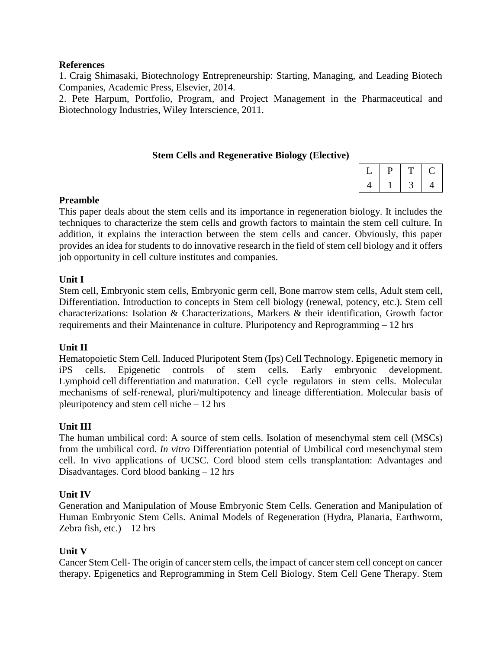#### **References**

1. Craig Shimasaki, Biotechnology Entrepreneurship: Starting, Managing, and Leading Biotech Companies, Academic Press, Elsevier, 2014.

2. Pete Harpum, Portfolio, Program, and Project Management in the Pharmaceutical and Biotechnology Industries, Wiley Interscience, 2011.

#### **Stem Cells and Regenerative Biology (Elective)**

|  | ч |
|--|---|

#### **Preamble**

This paper deals about the stem cells and its importance in regeneration biology. It includes the techniques to characterize the stem cells and growth factors to maintain the stem cell culture. In addition, it explains the interaction between the stem cells and cancer. Obviously, this paper provides an idea for students to do innovative research in the field of stem cell biology and it offers job opportunity in cell culture institutes and companies.

#### **Unit I**

Stem cell, Embryonic stem cells, Embryonic germ cell, Bone marrow stem cells, Adult stem cell, Differentiation. Introduction to concepts in Stem cell biology (renewal, potency, etc.). Stem cell characterizations: Isolation & Characterizations, Markers & their identification, Growth factor requirements and their Maintenance in culture. Pluripotency and Reprogramming – 12 hrs

#### **Unit II**

Hematopoietic Stem Cell. Induced Pluripotent Stem (Ips) Cell Technology. Epigenetic memory in iPS cells. Epigenetic controls of stem cells. Early embryonic development. Lymphoid cell differentiation and maturation. Cell cycle regulators in stem cells. Molecular mechanisms of self-renewal, pluri/multipotency and lineage differentiation. Molecular basis of pleuripotency and stem cell niche – 12 hrs

#### **Unit III**

The human umbilical cord: A source of stem cells. Isolation of mesenchymal stem cell (MSCs) from the umbilical cord. *In vitro* Differentiation potential of Umbilical cord mesenchymal stem cell. In vivo applications of UCSC. Cord blood stem cells transplantation: Advantages and Disadvantages. Cord blood banking – 12 hrs

#### **Unit IV**

Generation and Manipulation of Mouse Embryonic Stem Cells. Generation and Manipulation of Human Embryonic Stem Cells. Animal Models of Regeneration (Hydra, Planaria, Earthworm, Zebra fish, etc.)  $-12$  hrs

#### **Unit V**

Cancer Stem Cell- The origin of cancer stem cells, the impact of cancer stem cell concept on cancer therapy. Epigenetics and Reprogramming in Stem Cell Biology. Stem Cell Gene Therapy. Stem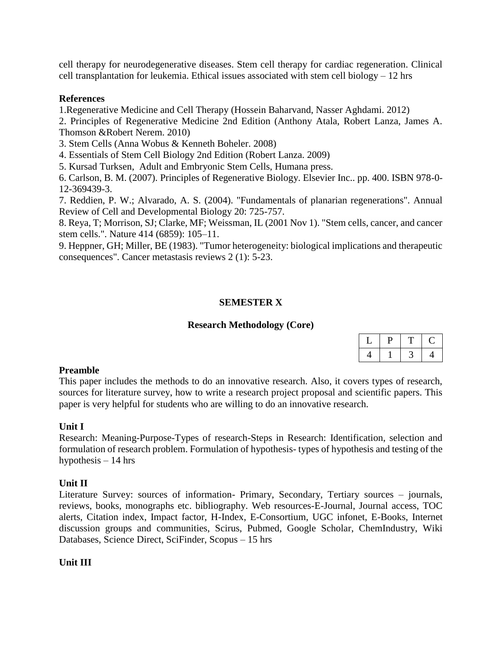cell therapy for neurodegenerative diseases. Stem cell therapy for cardiac regeneration. Clinical cell transplantation for leukemia. Ethical issues associated with stem cell biology – 12 hrs

#### **References**

1.Regenerative Medicine and Cell Therapy (Hossein Baharvand, Nasser Aghdami. 2012)

2. Principles of Regenerative Medicine 2nd Edition (Anthony Atala, Robert Lanza, James A. Thomson &Robert Nerem. 2010)

3. Stem Cells (Anna Wobus & Kenneth Boheler. 2008)

4. Essentials of Stem Cell Biology 2nd Edition (Robert Lanza. 2009)

5. Kursad Turksen, Adult and Embryonic Stem Cells, Humana press.

6. Carlson, B. M. (2007). Principles of Regenerative Biology. Elsevier Inc.. pp. 400. ISBN 978-0- 12-369439-3.

7. Reddien, P. W.; Alvarado, A. S. (2004). "Fundamentals of planarian regenerations". Annual Review of Cell and Developmental Biology 20: 725-757.

8. Reya, T; Morrison, SJ; Clarke, MF; Weissman, IL (2001 Nov 1). "Stem cells, cancer, and cancer stem cells.". Nature 414 (6859): 105–11.

9. Heppner, GH; Miller, BE (1983). "Tumor heterogeneity: biological implications and therapeutic consequences". Cancer metastasis reviews 2 (1): 5-23.

#### **SEMESTER X**

#### **Research Methodology (Core)**

#### **Preamble**

This paper includes the methods to do an innovative research. Also, it covers types of research, sources for literature survey, how to write a research project proposal and scientific papers. This paper is very helpful for students who are willing to do an innovative research.

#### **Unit I**

Research: Meaning-Purpose-Types of research-Steps in Research: Identification, selection and formulation of research problem. Formulation of hypothesis- types of hypothesis and testing of the hypothesis – 14 hrs

#### **Unit II**

Literature Survey: sources of information- Primary, Secondary, Tertiary sources – journals, reviews, books, monographs etc. bibliography. Web resources-E-Journal, Journal access, TOC alerts, Citation index, Impact factor, H-Index, E-Consortium, UGC infonet, E-Books, Internet discussion groups and communities, Scirus, Pubmed, Google Scholar, ChemIndustry, Wiki Databases, Science Direct, SciFinder, Scopus – 15 hrs

#### **Unit III**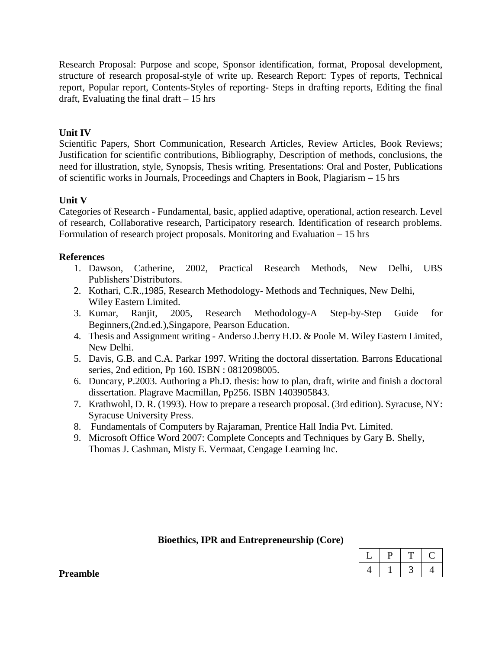Research Proposal: Purpose and scope, Sponsor identification, format, Proposal development, structure of research proposal-style of write up. Research Report: Types of reports, Technical report, Popular report, Contents-Styles of reporting- Steps in drafting reports, Editing the final draft, Evaluating the final draft  $-15$  hrs

### **Unit IV**

Scientific Papers, Short Communication, Research Articles, Review Articles, Book Reviews; Justification for scientific contributions, Bibliography, Description of methods, conclusions, the need for illustration, style, Synopsis, Thesis writing. Presentations: Oral and Poster, Publications of scientific works in Journals, Proceedings and Chapters in Book, Plagiarism – 15 hrs

### **Unit V**

Categories of Research - Fundamental, basic, applied adaptive, operational, action research. Level of research, Collaborative research, Participatory research. Identification of research problems. Formulation of research project proposals. Monitoring and Evaluation – 15 hrs

### **References**

- 1. Dawson, Catherine, 2002, Practical Research Methods, New Delhi, UBS Publishers'Distributors.
- 2. Kothari, C.R.,1985, Research Methodology- Methods and Techniques, New Delhi, Wiley Eastern Limited.
- 3. Kumar, Ranjit, 2005, Research Methodology-A Step-by-Step Guide for Beginners,(2nd.ed.),Singapore, Pearson Education.
- 4. Thesis and Assignment writing Anderso J.berry H.D. & Poole M. Wiley Eastern Limited, New Delhi.
- 5. Davis, G.B. and C.A. Parkar 1997. Writing the doctoral dissertation. Barrons Educational series, 2nd edition, Pp 160. ISBN : 0812098005.
- 6. Duncary, P.2003. Authoring a Ph.D. thesis: how to plan, draft, wirite and finish a doctoral dissertation. Plagrave Macmillan, Pp256. ISBN 1403905843.
- 7. Krathwohl, D. R. (1993). How to prepare a research proposal. (3rd edition). Syracuse, NY: Syracuse University Press.
- 8. Fundamentals of Computers by Rajaraman, Prentice Hall India Pvt. Limited.
- 9. Microsoft Office Word 2007: Complete Concepts and Techniques by Gary B. Shelly, Thomas J. Cashman, Misty E. Vermaat, Cengage Learning Inc.

#### **Bioethics, IPR and Entrepreneurship (Core)**

**Preamble**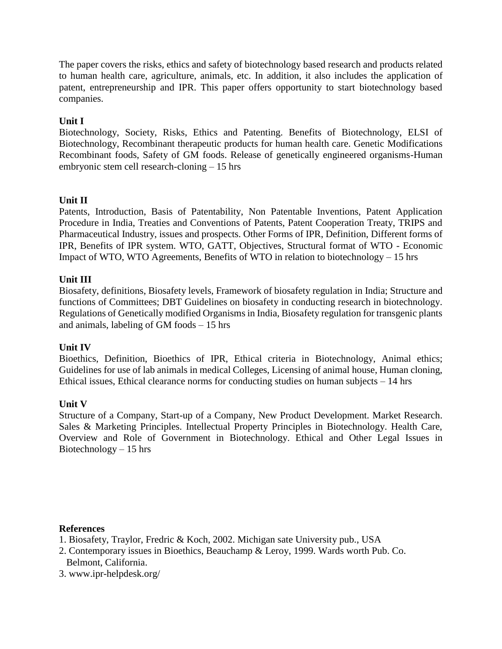The paper covers the risks, ethics and safety of biotechnology based research and products related to human health care, agriculture, animals, etc. In addition, it also includes the application of patent, entrepreneurship and IPR. This paper offers opportunity to start biotechnology based companies.

### **Unit I**

Biotechnology, Society, Risks, Ethics and Patenting. Benefits of Biotechnology, ELSI of Biotechnology, Recombinant therapeutic products for human health care. Genetic Modifications Recombinant foods, Safety of GM foods. Release of genetically engineered organisms-Human embryonic stem cell research-cloning – 15 hrs

### **Unit II**

Patents, Introduction, Basis of Patentability, Non Patentable Inventions, Patent Application Procedure in India, Treaties and Conventions of Patents, Patent Cooperation Treaty, TRIPS and Pharmaceutical Industry, issues and prospects. Other Forms of IPR, Definition, Different forms of IPR, Benefits of IPR system. WTO, GATT, Objectives, Structural format of WTO - Economic Impact of WTO, WTO Agreements, Benefits of WTO in relation to biotechnology – 15 hrs

### **Unit III**

Biosafety, definitions, Biosafety levels, Framework of biosafety regulation in India; Structure and functions of Committees; DBT Guidelines on biosafety in conducting research in biotechnology. Regulations of Genetically modified Organisms in India, Biosafety regulation for transgenic plants and animals, labeling of GM foods – 15 hrs

### **Unit IV**

Bioethics, Definition, Bioethics of IPR, Ethical criteria in Biotechnology, Animal ethics; Guidelines for use of lab animals in medical Colleges, Licensing of animal house, Human cloning, Ethical issues, Ethical clearance norms for conducting studies on human subjects  $-14$  hrs

### **Unit V**

Structure of a Company, Start-up of a Company, New Product Development. Market Research. Sales & Marketing Principles. Intellectual Property Principles in Biotechnology. Health Care, Overview and Role of Government in Biotechnology. Ethical and Other Legal Issues in Biotechnology  $-15$  hrs

- 1. Biosafety, Traylor, Fredric & Koch, 2002. Michigan sate University pub., USA
- 2. Contemporary issues in Bioethics, Beauchamp & Leroy, 1999. Wards worth Pub. Co. Belmont, California.
- 3. www.ipr-helpdesk.org/